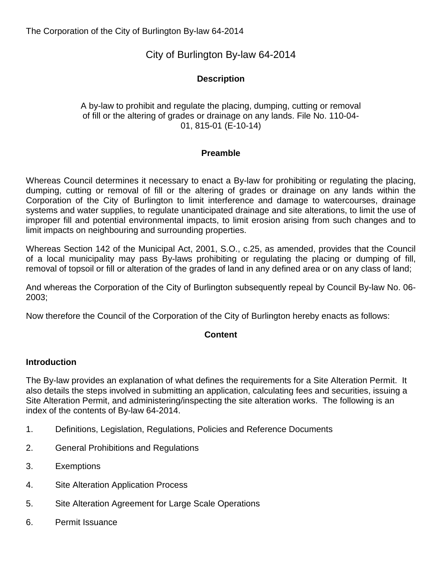# City of Burlington By-law 64-2014

## **Description**

### A by-law to prohibit and regulate the placing, dumping, cutting or removal of fill or the altering of grades or drainage on any lands. File No. 110-04- 01, 815-01 (E-10-14)

#### **Preamble**

Whereas Council determines it necessary to enact a By-law for prohibiting or regulating the placing, dumping, cutting or removal of fill or the altering of grades or drainage on any lands within the Corporation of the City of Burlington to limit interference and damage to watercourses, drainage systems and water supplies, to regulate unanticipated drainage and site alterations, to limit the use of improper fill and potential environmental impacts, to limit erosion arising from such changes and to limit impacts on neighbouring and surrounding properties.

Whereas Section 142 of the Municipal Act, 2001, S.O., c.25, as amended, provides that the Council of a local municipality may pass By-laws prohibiting or regulating the placing or dumping of fill, removal of topsoil or fill or alteration of the grades of land in any defined area or on any class of land;

And whereas the Corporation of the City of Burlington subsequently repeal by Council By-law No. 06- 2003;

Now therefore the Council of the Corporation of the City of Burlington hereby enacts as follows:

#### **Content**

#### **Introduction**

The By-law provides an explanation of what defines the requirements for a Site Alteration Permit. It also details the steps involved in submitting an application, calculating fees and securities, issuing a Site Alteration Permit, and administering/inspecting the site alteration works. The following is an index of the contents of By-law 64-2014.

- 1. Definitions, Legislation, Regulations, Policies and Reference Documents
- 2. General Prohibitions and Regulations
- 3. Exemptions
- 4. Site Alteration Application Process
- 5. Site Alteration Agreement for Large Scale Operations
- 6. Permit Issuance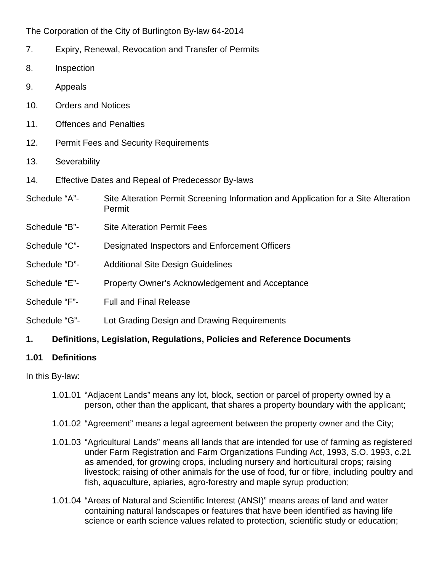- 7. Expiry, Renewal, Revocation and Transfer of Permits
- 8. Inspection
- 9. Appeals
- 10. Orders and Notices
- 11. Offences and Penalties
- 12. Permit Fees and Security Requirements
- 13. Severability
- 14. Effective Dates and Repeal of Predecessor By-laws
- Schedule "A"- Site Alteration Permit Screening Information and Application for a Site Alteration Permit
- Schedule "B"- Site Alteration Permit Fees
- Schedule "C"- Designated Inspectors and Enforcement Officers
- Schedule "D"- Additional Site Design Guidelines
- Schedule "E"- Property Owner's Acknowledgement and Acceptance
- Schedule "F"- Full and Final Release
- Schedule "G"- Lot Grading Design and Drawing Requirements

## **1. Definitions, Legislation, Regulations, Policies and Reference Documents**

## **1.01 Definitions**

## In this By-law:

- 1.01.01 "Adjacent Lands" means any lot, block, section or parcel of property owned by a person, other than the applicant, that shares a property boundary with the applicant;
- 1.01.02 "Agreement" means a legal agreement between the property owner and the City;
- 1.01.03 "Agricultural Lands" means all lands that are intended for use of farming as registered under Farm Registration and Farm Organizations Funding Act, 1993, S.O. 1993, c.21 as amended, for growing crops, including nursery and horticultural crops; raising livestock; raising of other animals for the use of food, fur or fibre, including poultry and fish, aquaculture, apiaries, agro-forestry and maple syrup production;
- 1.01.04 "Areas of Natural and Scientific Interest (ANSI)" means areas of land and water containing natural landscapes or features that have been identified as having life science or earth science values related to protection, scientific study or education;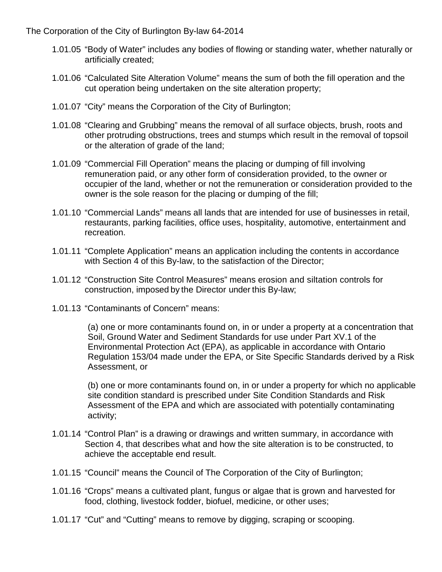- 1.01.05 "Body of Water" includes any bodies of flowing or standing water, whether naturally or artificially created;
- 1.01.06 "Calculated Site Alteration Volume" means the sum of both the fill operation and the cut operation being undertaken on the site alteration property;
- 1.01.07 "City" means the Corporation of the City of Burlington;
- 1.01.08 "Clearing and Grubbing" means the removal of all surface objects, brush, roots and other protruding obstructions, trees and stumps which result in the removal of topsoil or the alteration of grade of the land;
- 1.01.09 "Commercial Fill Operation" means the placing or dumping of fill involving remuneration paid, or any other form of consideration provided, to the owner or occupier of the land, whether or not the remuneration or consideration provided to the owner is the sole reason for the placing or dumping of the fill;
- 1.01.10 "Commercial Lands" means all lands that are intended for use of businesses in retail, restaurants, parking facilities, office uses, hospitality, automotive, entertainment and recreation.
- 1.01.11 "Complete Application" means an application including the contents in accordance with Section 4 of this By-law, to the satisfaction of the Director;
- 1.01.12 "Construction Site Control Measures" means erosion and siltation controls for construction, imposed by the Director under this By-law;
- 1.01.13 "Contaminants of Concern" means:

(a) one or more contaminants found on, in or under a property at a concentration that Soil, Ground Water and Sediment Standards for use under Part XV.1 of the Environmental Protection Act (EPA), as applicable in accordance with Ontario Regulation 153/04 made under the EPA, or Site Specific Standards derived by a Risk Assessment, or

(b) one or more contaminants found on, in or under a property for which no applicable site condition standard is prescribed under Site Condition Standards and Risk Assessment of the EPA and which are associated with potentially contaminating activity;

- 1.01.14 "Control Plan" is a drawing or drawings and written summary, in accordance with Section 4, that describes what and how the site alteration is to be constructed, to achieve the acceptable end result.
- 1.01.15 "Council" means the Council of The Corporation of the City of Burlington;
- 1.01.16 "Crops" means a cultivated plant, fungus or algae that is grown and harvested for [food,](http://en.wikipedia.org/wiki/Food) [clothing,](http://en.wikipedia.org/wiki/Clothing) [livestock](http://en.wikipedia.org/wiki/Livestock) [fodder,](http://en.wikipedia.org/wiki/Fodder) [biofuel,](http://en.wikipedia.org/wiki/Biofuel) [medicine,](http://en.wikipedia.org/wiki/Medicine) or other uses;
- 1.01.17 "Cut" and "Cutting" means to remove by digging, scraping or scooping.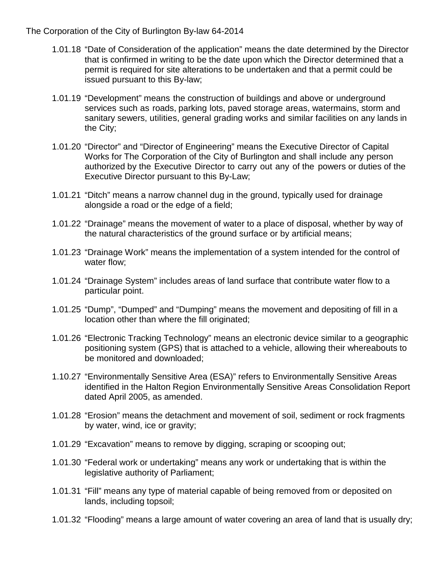- 1.01.18 "Date of Consideration of the application" means the date determined by the Director that is confirmed in writing to be the date upon which the Director determined that a permit is required for site alterations to be undertaken and that a permit could be issued pursuant to this By-law;
- 1.01.19 "Development" means the construction of buildings and above or underground services such as roads, parking lots, paved storage areas, watermains, storm and sanitary sewers, utilities, general grading works and similar facilities on any lands in the City;
- 1.01.20 "Director" and "Director of Engineering" means the Executive Director of Capital Works for The Corporation of the City of Burlington and shall include any person authorized by the Executive Director to carry out any of the powers or duties of the Executive Director pursuant to this By-Law;
- 1.01.21 "Ditch" means a narrow channel dug in the ground, typically used for drainage alongside a road or the edge of a field;
- 1.01.22 "Drainage" means the movement of water to a place of disposal, whether by way of the natural characteristics of the ground surface or by artificial means;
- 1.01.23 "Drainage Work" means the implementation of a system intended for the control of water flow;
- 1.01.24 "Drainage System" includes areas of land surface that contribute water flow to a particular point.
- 1.01.25 "Dump", "Dumped" and "Dumping" means the movement and depositing of fill in a location other than where the fill originated;
- 1.01.26 "Electronic Tracking Technology" means an electronic device similar to a geographic positioning system (GPS) that is attached to a vehicle, allowing their whereabouts to be monitored and downloaded;
- 1.10.27 "Environmentally Sensitive Area (ESA)" refers to Environmentally Sensitive Areas identified in the Halton Region Environmentally Sensitive Areas Consolidation Report dated April 2005, as amended.
- 1.01.28 "Erosion" means the detachment and movement of soil, sediment or rock fragments by water, wind, ice or gravity;
- 1.01.29 "Excavation" means to remove by digging, scraping or scooping out;
- 1.01.30 "Federal work or undertaking" means any work or undertaking that is within the legislative authority of Parliament;
- 1.01.31 "Fill" means any type of material capable of being removed from or deposited on lands, including topsoil;
- 1.01.32 "Flooding" means a large amount of water covering an area of land that is usually dry;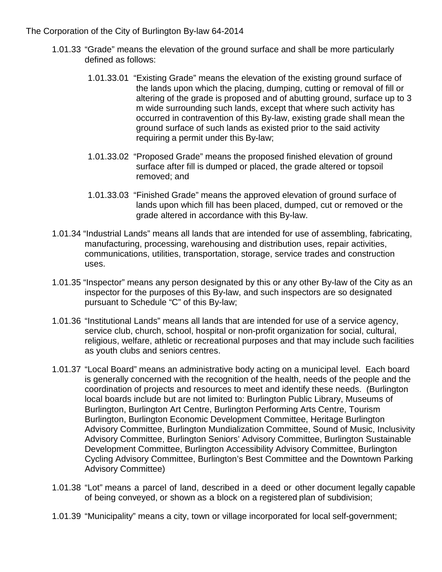- 1.01.33 "Grade" means the elevation of the ground surface and shall be more particularly defined as follows:
	- 1.01.33.01 "Existing Grade" means the elevation of the existing ground surface of the lands upon which the placing, dumping, cutting or removal of fill or altering of the grade is proposed and of abutting ground, surface up to 3 m wide surrounding such lands, except that where such activity has occurred in contravention of this By-law, existing grade shall mean the ground surface of such lands as existed prior to the said activity requiring a permit under this By-law;
	- 1.01.33.02 "Proposed Grade" means the proposed finished elevation of ground surface after fill is dumped or placed, the grade altered or topsoil removed; and
	- 1.01.33.03 "Finished Grade" means the approved elevation of ground surface of lands upon which fill has been placed, dumped, cut or removed or the grade altered in accordance with this By-law.
- 1.01.34 "Industrial Lands" means all lands that are intended for use of assembling, fabricating, manufacturing, processing, warehousing and distribution uses, repair activities, communications, utilities, transportation, storage, service trades and construction uses.
- 1.01.35 "Inspector" means any person designated by this or any other By-law of the City as an inspector for the purposes of this By-law, and such inspectors are so designated pursuant to Schedule "C" of this By-law;
- 1.01.36 "Institutional Lands" means all lands that are intended for use of a service agency, service club, church, school, hospital or non-profit organization for social, cultural, religious, welfare, athletic or recreational purposes and that may include such facilities as youth clubs and seniors centres.
- 1.01.37 "Local Board" means an administrative body acting on a municipal level. Each board is generally concerned with the recognition of the health, needs of the people and the coordination of projects and resources to meet and identify these needs. (Burlington local boards include but are not limited to: Burlington Public Library, Museums of Burlington, Burlington Art Centre, Burlington Performing Arts Centre, Tourism Burlington, Burlington Economic Development Committee, Heritage Burlington Advisory Committee, Burlington Mundialization Committee, Sound of Music, Inclusivity Advisory Committee, Burlington Seniors' Advisory Committee, Burlington Sustainable Development Committee, Burlington Accessibility Advisory Committee, Burlington Cycling Advisory Committee, Burlington's Best Committee and the Downtown Parking Advisory Committee)
- 1.01.38 "Lot" means a parcel of land, described in a deed or other document legally capable of being conveyed, or shown as a block on a registered plan of subdivision;
- 1.01.39 "Municipality" means a city, town or village incorporated for local self-government;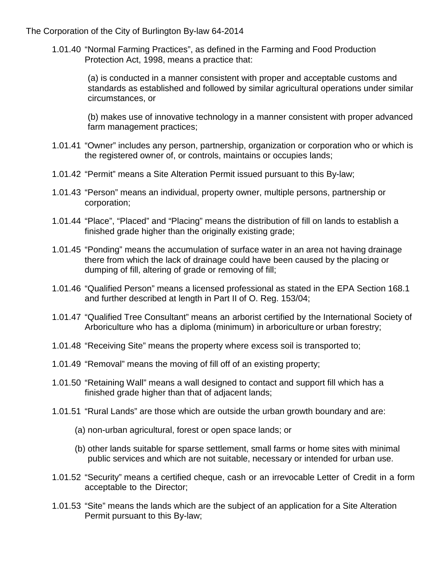1.01.40 "Normal Farming Practices", as defined in the Farming and Food Production Protection Act, 1998, means a practice that:

> (a) is conducted in a manner consistent with proper and acceptable customs and standards as established and followed by similar agricultural operations under similar circumstances, or

> (b) makes use of innovative technology in a manner consistent with proper advanced farm management practices;

- 1.01.41 "Owner" includes any person, partnership, organization or corporation who or which is the registered owner of, or controls, maintains or occupies lands;
- 1.01.42 "Permit" means a Site Alteration Permit issued pursuant to this By-law;
- 1.01.43 "Person" means an individual, property owner, multiple persons, partnership or corporation;
- 1.01.44 "Place", "Placed" and "Placing" means the distribution of fill on lands to establish a finished grade higher than the originally existing grade;
- 1.01.45 "Ponding" means the accumulation of surface water in an area not having drainage there from which the lack of drainage could have been caused by the placing or dumping of fill, altering of grade or removing of fill;
- 1.01.46 "Qualified Person" means a licensed professional as stated in the EPA Section 168.1 and further described at length in Part II of O. Reg. 153/04;
- 1.01.47 "Qualified Tree Consultant" means an arborist certified by the International Society of Arboriculture who has a diploma (minimum) in arboriculture or urban forestry;
- 1.01.48 "Receiving Site" means the property where excess soil is transported to;
- 1.01.49 "Removal" means the moving of fill off of an existing property;
- 1.01.50 "Retaining Wall" means a wall designed to contact and support fill which has a finished grade higher than that of adjacent lands;
- 1.01.51 "Rural Lands" are those which are outside the urban growth boundary and are:
	- (a) non-urban agricultural, forest or open space lands; or
	- (b) other lands suitable for sparse settlement, small farms or home sites with minimal public services and which are not suitable, necessary or intended for urban use.
- 1.01.52 "Security" means a certified cheque, cash or an irrevocable Letter of Credit in a form acceptable to the Director;
- 1.01.53 "Site" means the lands which are the subject of an application for a Site Alteration Permit pursuant to this By-law;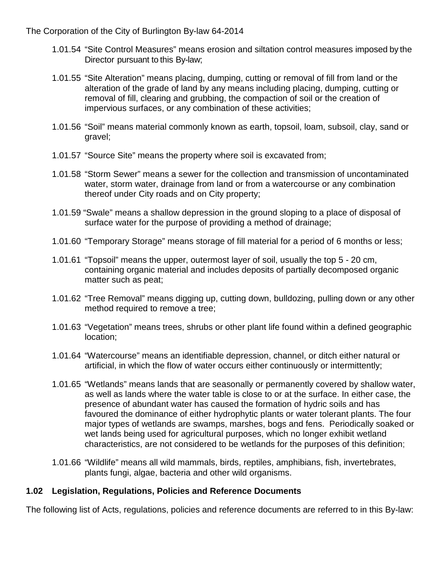- 1.01.54 "Site Control Measures" means erosion and siltation control measures imposed by the Director pursuant to this By-law;
- 1.01.55 "Site Alteration" means placing, dumping, cutting or removal of fill from land or the alteration of the grade of land by any means including placing, dumping, cutting or removal of fill, clearing and grubbing, the compaction of soil or the creation of impervious surfaces, or any combination of these activities;
- 1.01.56 "Soil" means material commonly known as earth, topsoil, loam, subsoil, clay, sand or gravel;
- 1.01.57 "Source Site" means the property where soil is excavated from;
- 1.01.58 "Storm Sewer" means a sewer for the collection and transmission of uncontaminated water, storm water, drainage from land or from a watercourse or any combination thereof under City roads and on City property;
- 1.01.59 "Swale" means a shallow depression in the ground sloping to a place of disposal of surface water for the purpose of providing a method of drainage;
- 1.01.60 "Temporary Storage" means storage of fill material for a period of 6 months or less;
- 1.01.61 "Topsoil" means the upper, outermost layer of [soil,](http://en.wikipedia.org/wiki/Soil) usually the top 5 20 cm, containing organic material and includes deposits of partially decomposed organic matter such as peat;
- 1.01.62 "Tree Removal" means digging up, cutting down, bulldozing, pulling down or any other method required to remove a tree;
- 1.01.63 "Vegetation" means trees, shrubs or other plant life found within a defined geographic location;
- 1.01.64 "Watercourse" means an identifiable depression, channel, or ditch either natural or artificial, in which the flow of water occurs either continuously or intermittently;
- 1.01.65 "Wetlands" means lands that are seasonally or permanently covered by shallow water, as well as lands where the water table is close to or at the surface. In either case, the presence of abundant water has caused the formation of hydric soils and has favoured the dominance of either hydrophytic plants or water tolerant plants. The four major types of wetlands are swamps, marshes, bogs and fens. Periodically soaked or wet lands being used for agricultural purposes, which no longer exhibit wetland characteristics, are not considered to be wetlands for the purposes of this definition;
- 1.01.66 "Wildlife" means all wild mammals, birds, reptiles, amphibians, fish, invertebrates, plants fungi, algae, bacteria and other wild organisms.

## **1.02 Legislation, Regulations, Policies and Reference Documents**

The following list of Acts, regulations, policies and reference documents are referred to in this By-law: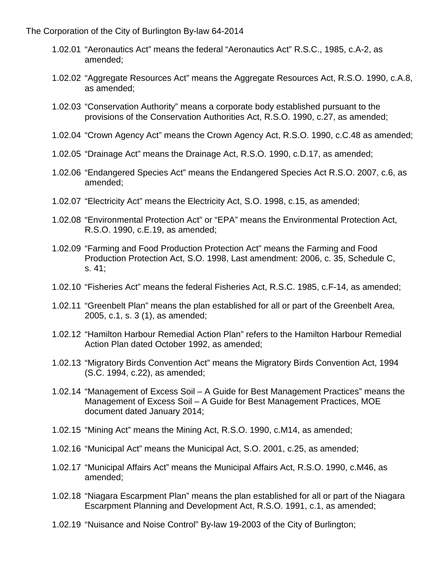- 1.02.01 "Aeronautics Act" means the federal "Aeronautics Act" R.S.C., 1985, c.A-2, as amended;
- 1.02.02 "Aggregate Resources Act" means the Aggregate Resources Act, R.S.O. 1990, c.A.8, as amended;
- 1.02.03 "Conservation Authority" means a corporate body established pursuant to the provisions of the Conservation Authorities Act, R.S.O. 1990, c.27, as amended;
- 1.02.04 "Crown Agency Act" means the Crown Agency Act, R.S.O. 1990, c.C.48 as amended;
- 1.02.05 "Drainage Act" means the Drainage Act, R.S.O. 1990, c.D.17, as amended;
- 1.02.06 "Endangered Species Act" means the Endangered Species Act R.S.O. 2007, c.6, as amended;
- 1.02.07 "Electricity Act" means the Electricity Act, S.O. 1998, c.15, as amended;
- 1.02.08 "Environmental Protection Act" or "EPA" means the Environmental Protection Act, R.S.O. 1990, c.E.19, as amended;
- 1.02.09 "Farming and Food Production Protection Act" means the Farming and Food Production Protection Act, S.O. 1998, Last amendment: 2006, c. 35, Schedule C, s. 41;
- 1.02.10 "Fisheries Act" means the federal Fisheries Act, R.S.C. 1985, c.F-14, as amended;
- 1.02.11 "Greenbelt Plan" means the plan established for all or part of the Greenbelt Area, 2005, c.1, s. 3 (1), as amended;
- 1.02.12 "Hamilton Harbour Remedial Action Plan" refers to the Hamilton Harbour Remedial Action Plan dated October 1992, as amended;
- 1.02.13 "Migratory Birds Convention Act" means the Migratory Birds Convention Act, 1994 (S.C. 1994, c.22), as amended;
- 1.02.14 "Management of Excess Soil A Guide for Best Management Practices" means the Management of Excess Soil – A Guide for Best Management Practices, MOE document dated January 2014;
- 1.02.15 "Mining Act" means the Mining Act, R.S.O. 1990, c.M14, as amended;
- 1.02.16 "Municipal Act" means the Municipal Act, S.O. 2001, c.25, as amended;
- 1.02.17 "Municipal Affairs Act" means the Municipal Affairs Act, R.S.O. 1990, c.M46, as amended;
- 1.02.18 "Niagara Escarpment Plan" means the plan established for all or part of the Niagara Escarpment Planning and Development Act, R.S.O. 1991, c.1, as amended;
- 1.02.19 "Nuisance and Noise Control" By-law 19-2003 of the City of Burlington;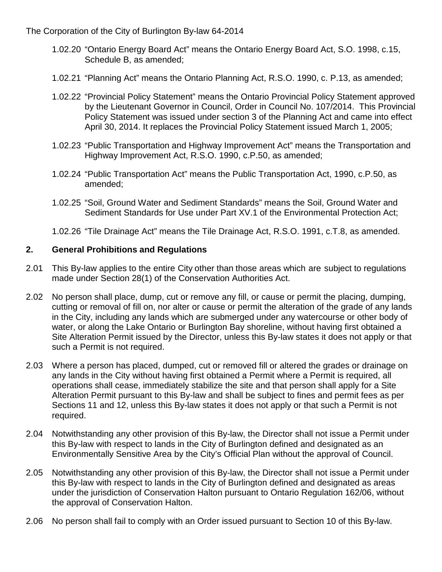- 1.02.20 "Ontario Energy Board Act" means the Ontario Energy Board Act, S.O. 1998, c.15, Schedule B, as amended;
- 1.02.21 "Planning Act" means the Ontario Planning Act, R.S.O. 1990, c. P.13, as amended;
- 1.02.22 "Provincial Policy Statement" means the Ontario Provincial Policy Statement approved by the Lieutenant Governor in Council, Order in Council No. 107/2014. This Provincial Policy Statement was issued under section 3 of the Planning Act and came into effect April 30, 2014. It replaces the Provincial Policy Statement issued March 1, 2005;
- 1.02.23 "Public Transportation and Highway Improvement Act" means the Transportation and Highway Improvement Act, R.S.O. 1990, c.P.50, as amended;
- 1.02.24 "Public Transportation Act" means the Public Transportation Act, 1990, c.P.50, as amended;
- 1.02.25 "Soil, Ground Water and Sediment Standards" means the Soil, Ground Water and Sediment Standards for Use under Part XV.1 of the Environmental Protection Act;
- 1.02.26 "Tile Drainage Act" means the Tile Drainage Act, R.S.O. 1991, c.T.8, as amended.

### **2. General Prohibitions and Regulations**

- 2.01 This By-law applies to the entire City other than those areas which are subject to regulations made under Section 28(1) of the Conservation Authorities Act.
- 2.02 No person shall place, dump, cut or remove any fill, or cause or permit the placing, dumping, cutting or removal of fill on, nor alter or cause or permit the alteration of the grade of any lands in the City, including any lands which are submerged under any watercourse or other body of water, or along the Lake Ontario or Burlington Bay shoreline, without having first obtained a Site Alteration Permit issued by the Director, unless this By-law states it does not apply or that such a Permit is not required.
- 2.03 Where a person has placed, dumped, cut or removed fill or altered the grades or drainage on any lands in the City without having first obtained a Permit where a Permit is required, all operations shall cease, immediately stabilize the site and that person shall apply for a Site Alteration Permit pursuant to this By-law and shall be subject to fines and permit fees as per Sections 11 and 12, unless this By-law states it does not apply or that such a Permit is not required.
- 2.04 Notwithstanding any other provision of this By-law, the Director shall not issue a Permit under this By-law with respect to lands in the City of Burlington defined and designated as an Environmentally Sensitive Area by the City's Official Plan without the approval of Council.
- 2.05 Notwithstanding any other provision of this By-law, the Director shall not issue a Permit under this By-law with respect to lands in the City of Burlington defined and designated as areas under the jurisdiction of Conservation Halton pursuant to Ontario Regulation 162/06, without the approval of Conservation Halton.
- 2.06 No person shall fail to comply with an Order issued pursuant to Section 10 of this By-law.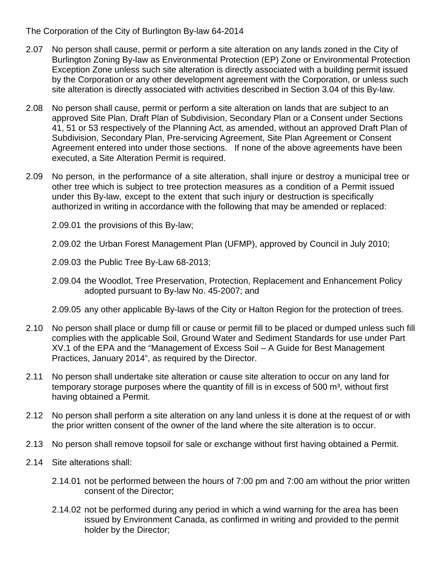- 2.07 No person shall cause, permit or perform a site alteration on any lands zoned in the City of Burlington Zoning By-law as Environmental Protection (EP) Zone or Environmental Protection Exception Zone unless such site alteration is directly associated with a building permit issued by the Corporation or any other development agreement with the Corporation, or unless such site alteration is directly associated with activities described in Section 3.04 of this By-law.
- 2.08 No person shall cause, permit or perform a site alteration on lands that are subject to an approved Site Plan, Draft Plan of Subdivision, Secondary Plan or a Consent under Sections 41, 51 or 53 respectively of the Planning Act, as amended, without an approved Draft Plan of Subdivision, Secondary Plan, Pre-servicing Agreement, Site Plan Agreement or Consent Agreement entered into under those sections. If none of the above agreements have been executed, a Site Alteration Permit is required.
- 2.09 No person, in the performance of a site alteration, shall injure or destroy a municipal tree or other tree which is subject to tree protection measures as a condition of a Permit issued under this By-law, except to the extent that such injury or destruction is specifically authorized in writing in accordance with the following that may be amended or replaced:
	- 2.09.01 the provisions of this By-law;
	- 2.09.02 the Urban Forest Management Plan (UFMP), approved by Council in July 2010;
	- 2.09.03 the Public Tree By-Law 68-2013;
	- 2.09.04 the Woodlot, Tree Preservation, Protection, Replacement and Enhancement Policy adopted pursuant to By-law No. 45-2007; and
	- 2.09.05 any other applicable By-laws of the City or Halton Region for the protection of trees.
- 2.10 No person shall place or dump fill or cause or permit fill to be placed or dumped unless such fill complies with the applicable Soil, Ground Water and Sediment Standards for use under Part XV.1 of the EPA and the "Management of Excess Soil – A Guide for Best Management Practices, January 2014", as required by the Director.
- 2.11 No person shall undertake site alteration or cause site alteration to occur on any land for temporary storage purposes where the quantity of fill is in excess of 500  $m<sup>3</sup>$ , without first having obtained a Permit.
- 2.12 No person shall perform a site alteration on any land unless it is done at the request of or with the prior written consent of the owner of the land where the site alteration is to occur.
- 2.13 No person shall remove topsoil for sale or exchange without first having obtained a Permit.
- 2.14 Site alterations shall:
	- 2.14.01 not be performed between the hours of 7:00 pm and 7:00 am without the prior written consent of the Director;
	- 2.14.02 not be performed during any period in which a wind warning for the area has been issued by Environment Canada, as confirmed in writing and provided to the permit holder by the Director;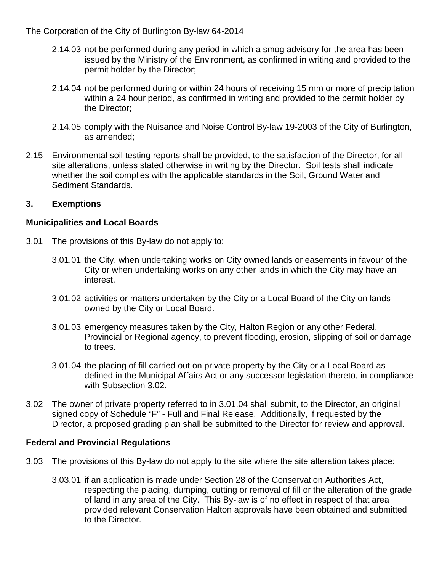- 2.14.03 not be performed during any period in which a smog advisory for the area has been issued by the Ministry of the Environment, as confirmed in writing and provided to the permit holder by the Director;
- 2.14.04 not be performed during or within 24 hours of receiving 15 mm or more of precipitation within a 24 hour period, as confirmed in writing and provided to the permit holder by the Director;
- 2.14.05 comply with the Nuisance and Noise Control By-law 19-2003 of the City of Burlington, as amended;
- 2.15 Environmental soil testing reports shall be provided, to the satisfaction of the Director, for all site alterations, unless stated otherwise in writing by the Director. Soil tests shall indicate whether the soil complies with the applicable standards in the Soil, Ground Water and Sediment Standards.

### **3. Exemptions**

#### **Municipalities and Local Boards**

- 3.01 The provisions of this By-law do not apply to:
	- 3.01.01 the City, when undertaking works on City owned lands or easements in favour of the City or when undertaking works on any other lands in which the City may have an interest.
	- 3.01.02 activities or matters undertaken by the City or a Local Board of the City on lands owned by the City or Local Board.
	- 3.01.03 emergency measures taken by the City, Halton Region or any other Federal, Provincial or Regional agency, to prevent flooding, erosion, slipping of soil or damage to trees.
	- 3.01.04 the placing of fill carried out on private property by the City or a Local Board as defined in the Municipal Affairs Act or any successor legislation thereto, in compliance with Subsection 3.02.
- 3.02 The owner of private property referred to in 3.01.04 shall submit, to the Director, an original signed copy of Schedule "F" - Full and Final Release. Additionally, if requested by the Director, a proposed grading plan shall be submitted to the Director for review and approval.

## **Federal and Provincial Regulations**

- 3.03 The provisions of this By-law do not apply to the site where the site alteration takes place:
	- 3.03.01 if an application is made under Section 28 of the Conservation Authorities Act, respecting the placing, dumping, cutting or removal of fill or the alteration of the grade of land in any area of the City. This By-law is of no effect in respect of that area provided relevant Conservation Halton approvals have been obtained and submitted to the Director.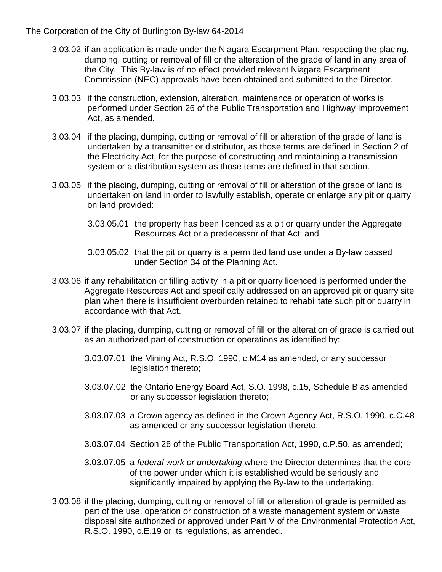- 3.03.02 if an application is made under the Niagara Escarpment Plan, respecting the placing, dumping, cutting or removal of fill or the alteration of the grade of land in any area of the City. This By-law is of no effect provided relevant Niagara Escarpment Commission (NEC) approvals have been obtained and submitted to the Director.
- 3.03.03 if the construction, extension, alteration, maintenance or operation of works is performed under Section 26 of the Public Transportation and Highway Improvement Act, as amended.
- 3.03.04 if the placing, dumping, cutting or removal of fill or alteration of the grade of land is undertaken by a transmitter or distributor, as those terms are defined in Section 2 of the Electricity Act, for the purpose of constructing and maintaining a transmission system or a distribution system as those terms are defined in that section.
- 3.03.05 if the placing, dumping, cutting or removal of fill or alteration of the grade of land is undertaken on land in order to lawfully establish, operate or enlarge any pit or quarry on land provided:
	- 3.03.05.01 the property has been licenced as a pit or quarry under the Aggregate Resources Act or a predecessor of that Act; and
	- 3.03.05.02 that the pit or quarry is a permitted land use under a By-law passed under Section 34 of the Planning Act.
- 3.03.06 if any rehabilitation or filling activity in a pit or quarry licenced is performed under the Aggregate Resources Act and specifically addressed on an approved pit or quarry site plan when there is insufficient overburden retained to rehabilitate such pit or quarry in accordance with that Act.
- 3.03.07 if the placing, dumping, cutting or removal of fill or the alteration of grade is carried out as an authorized part of construction or operations as identified by:
	- 3.03.07.01 the Mining Act, R.S.O. 1990, c.M14 as amended, or any successor legislation thereto;
	- 3.03.07.02 the Ontario Energy Board Act, S.O. 1998, c.15, Schedule B as amended or any successor legislation thereto;
	- 3.03.07.03 a Crown agency as defined in the Crown Agency Act, R.S.O. 1990, c.C.48 as amended or any successor legislation thereto;
	- 3.03.07.04 Section 26 of the Public Transportation Act, 1990, c.P.50, as amended;
	- 3.03.07.05 a *federal work or undertaking* where the Director determines that the core of the power under which it is established would be seriously and significantly impaired by applying the By-law to the undertaking.
- 3.03.08 if the placing, dumping, cutting or removal of fill or alteration of grade is permitted as part of the use, operation or construction of a waste management system or waste disposal site authorized or approved under Part V of the Environmental Protection Act, R.S.O. 1990, c.E.19 or its regulations, as amended.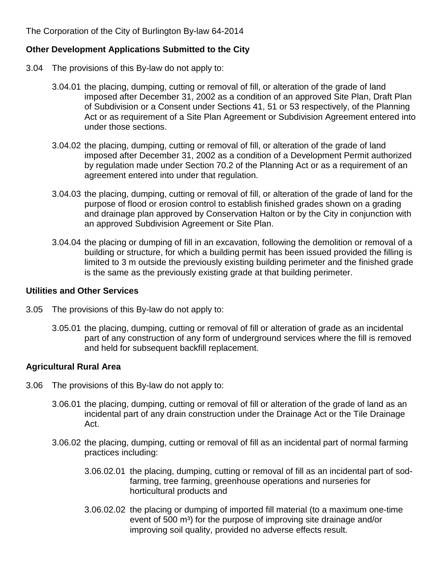### **Other Development Applications Submitted to the City**

- 3.04 The provisions of this By-law do not apply to:
	- 3.04.01 the placing, dumping, cutting or removal of fill, or alteration of the grade of land imposed after December 31, 2002 as a condition of an approved Site Plan, Draft Plan of Subdivision or a Consent under Sections 41, 51 or 53 respectively, of the Planning Act or as requirement of a Site Plan Agreement or Subdivision Agreement entered into under those sections.
	- 3.04.02 the placing, dumping, cutting or removal of fill, or alteration of the grade of land imposed after December 31, 2002 as a condition of a Development Permit authorized by regulation made under Section 70.2 of the Planning Act or as a requirement of an agreement entered into under that regulation.
	- 3.04.03 the placing, dumping, cutting or removal of fill, or alteration of the grade of land for the purpose of flood or erosion control to establish finished grades shown on a grading and drainage plan approved by Conservation Halton or by the City in conjunction with an approved Subdivision Agreement or Site Plan.
	- 3.04.04 the placing or dumping of fill in an excavation, following the demolition or removal of a building or structure, for which a building permit has been issued provided the filling is limited to 3 m outside the previously existing building perimeter and the finished grade is the same as the previously existing grade at that building perimeter.

#### **Utilities and Other Services**

- 3.05 The provisions of this By-law do not apply to:
	- 3.05.01 the placing, dumping, cutting or removal of fill or alteration of grade as an incidental part of any construction of any form of underground services where the fill is removed and held for subsequent backfill replacement.

#### **Agricultural Rural Area**

- 3.06 The provisions of this By-law do not apply to:
	- 3.06.01 the placing, dumping, cutting or removal of fill or alteration of the grade of land as an incidental part of any drain construction under the Drainage Act or the Tile Drainage Act.
	- 3.06.02 the placing, dumping, cutting or removal of fill as an incidental part of normal farming practices including:
		- 3.06.02.01 the placing, dumping, cutting or removal of fill as an incidental part of sodfarming, tree farming, greenhouse operations and nurseries for horticultural products and
		- 3.06.02.02 the placing or dumping of imported fill material (to a maximum one-time event of 500 m<sup>3</sup>) for the purpose of improving site drainage and/or improving soil quality, provided no adverse effects result.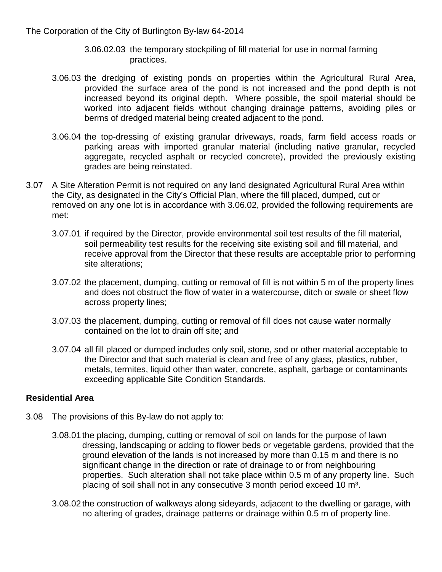- 3.06.02.03 the temporary stockpiling of fill material for use in normal farming practices.
- 3.06.03 the dredging of existing ponds on properties within the Agricultural Rural Area, provided the surface area of the pond is not increased and the pond depth is not increased beyond its original depth. Where possible, the spoil material should be worked into adjacent fields without changing drainage patterns, avoiding piles or berms of dredged material being created adjacent to the pond.
- 3.06.04 the top-dressing of existing granular driveways, roads, farm field access roads or parking areas with imported granular material (including native granular, recycled aggregate, recycled asphalt or recycled concrete), provided the previously existing grades are being reinstated.
- 3.07 A Site Alteration Permit is not required on any land designated Agricultural Rural Area within the City, as designated in the City's Official Plan, where the fill placed, dumped, cut or removed on any one lot is in accordance with 3.06.02, provided the following requirements are met:
	- 3.07.01 if required by the Director, provide environmental soil test results of the fill material, soil permeability test results for the receiving site existing soil and fill material, and receive approval from the Director that these results are acceptable prior to performing site alterations;
	- 3.07.02 the placement, dumping, cutting or removal of fill is not within 5 m of the property lines and does not obstruct the flow of water in a watercourse, ditch or swale or sheet flow across property lines;
	- 3.07.03 the placement, dumping, cutting or removal of fill does not cause water normally contained on the lot to drain off site; and
	- 3.07.04 all fill placed or dumped includes only soil, stone, sod or other material acceptable to the Director and that such material is clean and free of any glass, plastics, rubber, metals, termites, liquid other than water, concrete, asphalt, garbage or contaminants exceeding applicable Site Condition Standards.

#### **Residential Area**

- 3.08 The provisions of this By-law do not apply to:
	- 3.08.01 the placing, dumping, cutting or removal of soil on lands for the purpose of lawn dressing, landscaping or adding to flower beds or vegetable gardens, provided that the ground elevation of the lands is not increased by more than 0.15 m and there is no significant change in the direction or rate of drainage to or from neighbouring properties. Such alteration shall not take place within 0.5 m of any property line. Such placing of soil shall not in any consecutive 3 month period exceed 10 m<sup>3</sup>.
	- 3.08.02 the construction of walkways along sideyards, adjacent to the dwelling or garage, with no altering of grades, drainage patterns or drainage within 0.5 m of property line.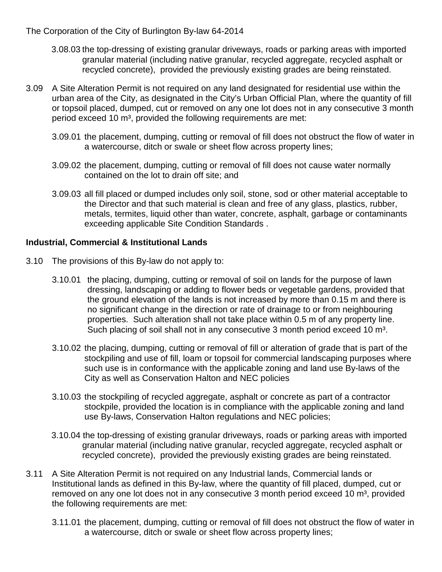- 3.08.03 the top-dressing of existing granular driveways, roads or parking areas with imported granular material (including native granular, recycled aggregate, recycled asphalt or recycled concrete), provided the previously existing grades are being reinstated.
- 3.09 A Site Alteration Permit is not required on any land designated for residential use within the urban area of the City, as designated in the City's Urban Official Plan, where the quantity of fill or topsoil placed, dumped, cut or removed on any one lot does not in any consecutive 3 month period exceed 10 m<sup>3</sup>, provided the following requirements are met:
	- 3.09.01 the placement, dumping, cutting or removal of fill does not obstruct the flow of water in a watercourse, ditch or swale or sheet flow across property lines;
	- 3.09.02 the placement, dumping, cutting or removal of fill does not cause water normally contained on the lot to drain off site; and
	- 3.09.03 all fill placed or dumped includes only soil, stone, sod or other material acceptable to the Director and that such material is clean and free of any glass, plastics, rubber, metals, termites, liquid other than water, concrete, asphalt, garbage or contaminants exceeding applicable Site Condition Standards .

#### **Industrial, Commercial & Institutional Lands**

- 3.10 The provisions of this By-law do not apply to:
	- 3.10.01 the placing, dumping, cutting or removal of soil on lands for the purpose of lawn dressing, landscaping or adding to flower beds or vegetable gardens, provided that the ground elevation of the lands is not increased by more than 0.15 m and there is no significant change in the direction or rate of drainage to or from neighbouring properties. Such alteration shall not take place within 0.5 m of any property line. Such placing of soil shall not in any consecutive 3 month period exceed 10 m<sup>3</sup>.
	- 3.10.02 the placing, dumping, cutting or removal of fill or alteration of grade that is part of the stockpiling and use of fill, loam or topsoil for commercial landscaping purposes where such use is in conformance with the applicable zoning and land use By-laws of the City as well as Conservation Halton and NEC policies
	- 3.10.03 the stockpiling of recycled aggregate, asphalt or concrete as part of a contractor stockpile, provided the location is in compliance with the applicable zoning and land use By-laws, Conservation Halton regulations and NEC policies;
	- 3.10.04 the top-dressing of existing granular driveways, roads or parking areas with imported granular material (including native granular, recycled aggregate, recycled asphalt or recycled concrete), provided the previously existing grades are being reinstated.
- 3.11 A Site Alteration Permit is not required on any Industrial lands, Commercial lands or Institutional lands as defined in this By-law, where the quantity of fill placed, dumped, cut or removed on any one lot does not in any consecutive 3 month period exceed 10 m<sup>3</sup>, provided the following requirements are met:
	- 3.11.01 the placement, dumping, cutting or removal of fill does not obstruct the flow of water in a watercourse, ditch or swale or sheet flow across property lines;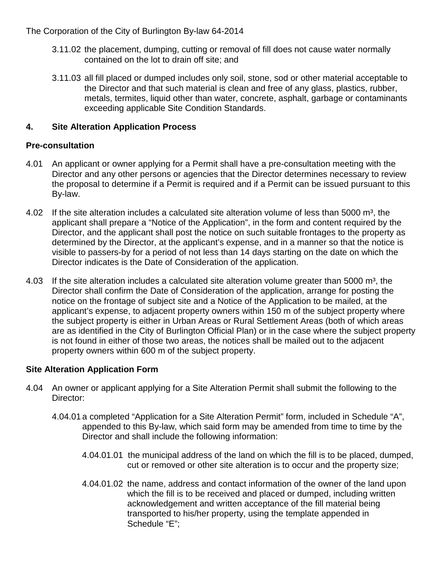- 3.11.02 the placement, dumping, cutting or removal of fill does not cause water normally contained on the lot to drain off site; and
- 3.11.03 all fill placed or dumped includes only soil, stone, sod or other material acceptable to the Director and that such material is clean and free of any glass, plastics, rubber, metals, termites, liquid other than water, concrete, asphalt, garbage or contaminants exceeding applicable Site Condition Standards.

## **4. Site Alteration Application Process**

## **Pre-consultation**

- 4.01 An applicant or owner applying for a Permit shall have a pre-consultation meeting with the Director and any other persons or agencies that the Director determines necessary to review the proposal to determine if a Permit is required and if a Permit can be issued pursuant to this By-law.
- 4.02 If the site alteration includes a calculated site alteration volume of less than 5000 m<sup>3</sup>, the applicant shall prepare a "Notice of the Application", in the form and content required by the Director, and the applicant shall post the notice on such suitable frontages to the property as determined by the Director, at the applicant's expense, and in a manner so that the notice is visible to passers-by for a period of not less than 14 days starting on the date on which the Director indicates is the Date of Consideration of the application.
- 4.03 If the site alteration includes a calculated site alteration volume greater than 5000  $m^3$ , the Director shall confirm the Date of Consideration of the application, arrange for posting the notice on the frontage of subject site and a Notice of the Application to be mailed, at the applicant's expense, to adjacent property owners within 150 m of the subject property where the subject property is either in Urban Areas or Rural Settlement Areas (both of which areas are as identified in the City of Burlington Official Plan) or in the case where the subject property is not found in either of those two areas, the notices shall be mailed out to the adjacent property owners within 600 m of the subject property.

## **Site Alteration Application Form**

- 4.04 An owner or applicant applying for a Site Alteration Permit shall submit the following to the Director:
	- 4.04.01 a completed "Application for a Site Alteration Permit" form, included in Schedule "A", appended to this By-law, which said form may be amended from time to time by the Director and shall include the following information:
		- 4.04.01.01 the municipal address of the land on which the fill is to be placed, dumped, cut or removed or other site alteration is to occur and the property size;
		- 4.04.01.02 the name, address and contact information of the owner of the land upon which the fill is to be received and placed or dumped, including written acknowledgement and written acceptance of the fill material being transported to his/her property, using the template appended in Schedule "E";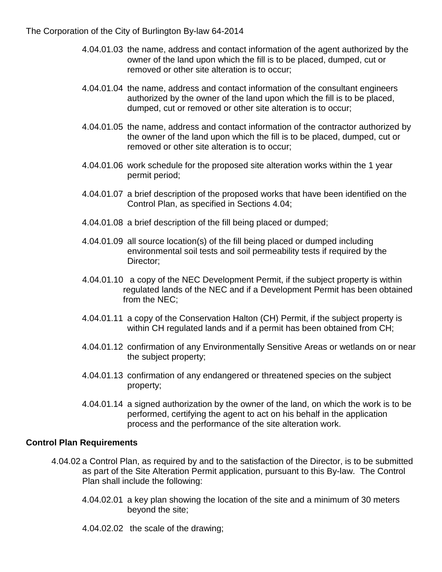- 4.04.01.03 the name, address and contact information of the agent authorized by the owner of the land upon which the fill is to be placed, dumped, cut or removed or other site alteration is to occur;
- 4.04.01.04 the name, address and contact information of the consultant engineers authorized by the owner of the land upon which the fill is to be placed, dumped, cut or removed or other site alteration is to occur;
- 4.04.01.05 the name, address and contact information of the contractor authorized by the owner of the land upon which the fill is to be placed, dumped, cut or removed or other site alteration is to occur;
- 4.04.01.06 work schedule for the proposed site alteration works within the 1 year permit period;
- 4.04.01.07 a brief description of the proposed works that have been identified on the Control Plan, as specified in Sections 4.04;
- 4.04.01.08 a brief description of the fill being placed or dumped;
- 4.04.01.09 all source location(s) of the fill being placed or dumped including environmental soil tests and soil permeability tests if required by the Director;
- 4.04.01.10 a copy of the NEC Development Permit, if the subject property is within regulated lands of the NEC and if a Development Permit has been obtained from the NEC;
- 4.04.01.11 a copy of the Conservation Halton (CH) Permit, if the subject property is within CH regulated lands and if a permit has been obtained from CH;
- 4.04.01.12 confirmation of any Environmentally Sensitive Areas or wetlands on or near the subject property;
- 4.04.01.13 confirmation of any endangered or threatened species on the subject property;
- 4.04.01.14 a signed authorization by the owner of the land, on which the work is to be performed, certifying the agent to act on his behalf in the application process and the performance of the site alteration work.

## **Control Plan Requirements**

- 4.04.02 a Control Plan, as required by and to the satisfaction of the Director, is to be submitted as part of the Site Alteration Permit application, pursuant to this By-law. The Control Plan shall include the following:
	- 4.04.02.01 a key plan showing the location of the site and a minimum of 30 meters beyond the site;
	- 4.04.02.02 the scale of the drawing;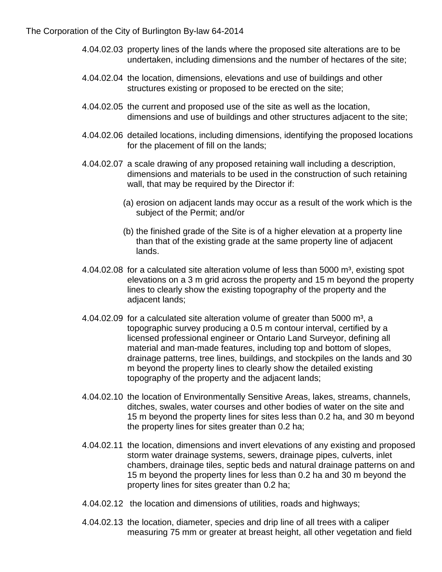- 4.04.02.03 property lines of the lands where the proposed site alterations are to be undertaken, including dimensions and the number of hectares of the site;
- 4.04.02.04 the location, dimensions, elevations and use of buildings and other structures existing or proposed to be erected on the site;
- 4.04.02.05 the current and proposed use of the site as well as the location, dimensions and use of buildings and other structures adjacent to the site;
- 4.04.02.06 detailed locations, including dimensions, identifying the proposed locations for the placement of fill on the lands;
- 4.04.02.07 a scale drawing of any proposed retaining wall including a description, dimensions and materials to be used in the construction of such retaining wall, that may be required by the Director if:
	- (a) erosion on adjacent lands may occur as a result of the work which is the subject of the Permit; and/or
	- (b) the finished grade of the Site is of a higher elevation at a property line than that of the existing grade at the same property line of adjacent lands.
- $4.04.02.08$  for a calculated site alteration volume of less than 5000 m<sup>3</sup>, existing spot elevations on a 3 m grid across the property and 15 m beyond the property lines to clearly show the existing topography of the property and the adjacent lands;
- $4.04.02.09$  for a calculated site alteration volume of greater than 5000 m<sup>3</sup>, a topographic survey producing a 0.5 m contour interval, certified by a licensed professional engineer or Ontario Land Surveyor, defining all material and man-made features, including top and bottom of slopes, drainage patterns, tree lines, buildings, and stockpiles on the lands and 30 m beyond the property lines to clearly show the detailed existing topography of the property and the adjacent lands;
- 4.04.02.10 the location of Environmentally Sensitive Areas, lakes, streams, channels, ditches, swales, water courses and other bodies of water on the site and 15 m beyond the property lines for sites less than 0.2 ha, and 30 m beyond the property lines for sites greater than 0.2 ha;
- 4.04.02.11 the location, dimensions and invert elevations of any existing and proposed storm water drainage systems, sewers, drainage pipes, culverts, inlet chambers, drainage tiles, septic beds and natural drainage patterns on and 15 m beyond the property lines for less than 0.2 ha and 30 m beyond the property lines for sites greater than 0.2 ha;
- 4.04.02.12 the location and dimensions of utilities, roads and highways;
- 4.04.02.13 the location, diameter, species and drip line of all trees with a caliper measuring 75 mm or greater at breast height, all other vegetation and field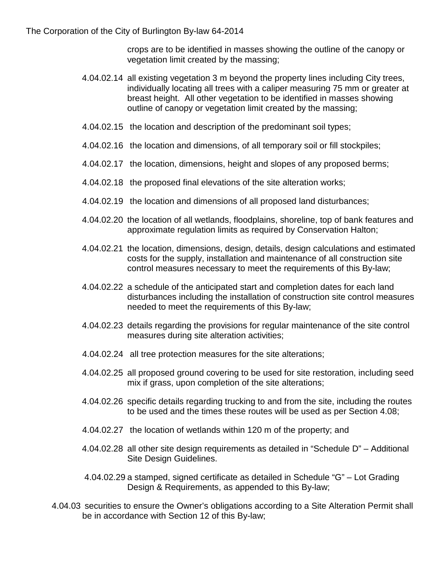crops are to be identified in masses showing the outline of the canopy or vegetation limit created by the massing;

- 4.04.02.14 all existing vegetation 3 m beyond the property lines including City trees, individually locating all trees with a caliper measuring 75 mm or greater at breast height. All other vegetation to be identified in masses showing outline of canopy or vegetation limit created by the massing;
- 4.04.02.15 the location and description of the predominant soil types;
- 4.04.02.16 the location and dimensions, of all temporary soil or fill stockpiles;
- 4.04.02.17 the location, dimensions, height and slopes of any proposed berms;
- 4.04.02.18 the proposed final elevations of the site alteration works;
- 4.04.02.19 the location and dimensions of all proposed land disturbances;
- 4.04.02.20 the location of all wetlands, floodplains, shoreline, top of bank features and approximate regulation limits as required by Conservation Halton;
- 4.04.02.21 the location, dimensions, design, details, design calculations and estimated costs for the supply, installation and maintenance of all construction site control measures necessary to meet the requirements of this By-law;
- 4.04.02.22 a schedule of the anticipated start and completion dates for each land disturbances including the installation of construction site control measures needed to meet the requirements of this By-law;
- 4.04.02.23 details regarding the provisions for regular maintenance of the site control measures during site alteration activities;
- 4.04.02.24 all tree protection measures for the site alterations;
- 4.04.02.25 all proposed ground covering to be used for site restoration, including seed mix if grass, upon completion of the site alterations;
- 4.04.02.26 specific details regarding trucking to and from the site, including the routes to be used and the times these routes will be used as per Section 4.08;
- 4.04.02.27 the location of wetlands within 120 m of the property; and
- 4.04.02.28 all other site design requirements as detailed in "Schedule D" Additional Site Design Guidelines.
- 4.04.02.29 a stamped, signed certificate as detailed in Schedule "G" Lot Grading Design & Requirements, as appended to this By-law;
- 4.04.03 securities to ensure the Owner's obligations according to a Site Alteration Permit shall be in accordance with Section 12 of this By-law;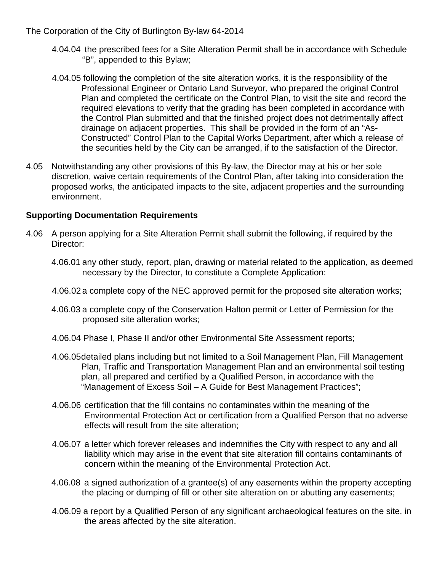- 4.04.04 the prescribed fees for a Site Alteration Permit shall be in accordance with Schedule "B", appended to this Bylaw;
- 4.04.05 following the completion of the site alteration works, it is the responsibility of the Professional Engineer or Ontario Land Surveyor, who prepared the original Control Plan and completed the certificate on the Control Plan, to visit the site and record the required elevations to verify that the grading has been completed in accordance with the Control Plan submitted and that the finished project does not detrimentally affect drainage on adjacent properties. This shall be provided in the form of an "As-Constructed" Control Plan to the Capital Works Department, after which a release of the securities held by the City can be arranged, if to the satisfaction of the Director.
- 4.05 Notwithstanding any other provisions of this By-law, the Director may at his or her sole discretion, waive certain requirements of the Control Plan, after taking into consideration the proposed works, the anticipated impacts to the site, adjacent properties and the surrounding environment.

### **Supporting Documentation Requirements**

- 4.06 A person applying for a Site Alteration Permit shall submit the following, if required by the Director:
	- 4.06.01 any other study, report, plan, drawing or material related to the application, as deemed necessary by the Director, to constitute a Complete Application:
	- 4.06.02 a complete copy of the NEC approved permit for the proposed site alteration works;
	- 4.06.03 a complete copy of the Conservation Halton permit or Letter of Permission for the proposed site alteration works;
	- 4.06.04 Phase I, Phase II and/or other Environmental Site Assessment reports;
	- 4.06.05detailed plans including but not limited to a Soil Management Plan, Fill Management Plan, Traffic and Transportation Management Plan and an environmental soil testing plan, all prepared and certified by a Qualified Person, in accordance with the "Management of Excess Soil – A Guide for Best Management Practices";
	- 4.06.06 certification that the fill contains no contaminates within the meaning of the Environmental Protection Act or certification from a Qualified Person that no adverse effects will result from the site alteration;
	- 4.06.07 a letter which forever releases and indemnifies the City with respect to any and all liability which may arise in the event that site alteration fill contains contaminants of concern within the meaning of the Environmental Protection Act.
	- 4.06.08 a signed authorization of a grantee(s) of any easements within the property accepting the placing or dumping of fill or other site alteration on or abutting any easements;
	- 4.06.09 a report by a Qualified Person of any significant archaeological features on the site, in the areas affected by the site alteration.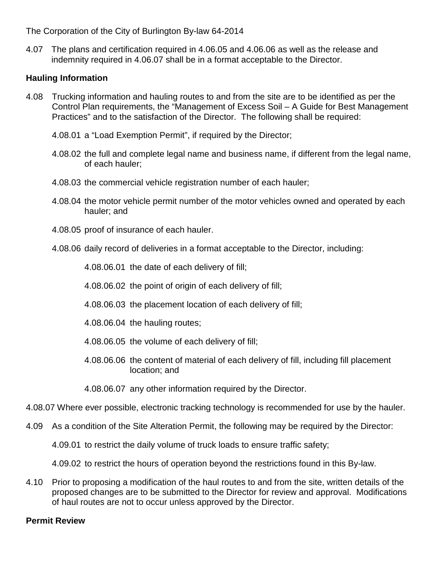4.07 The plans and certification required in 4.06.05 and 4.06.06 as well as the release and indemnity required in 4.06.07 shall be in a format acceptable to the Director.

## **Hauling Information**

- 4.08 Trucking information and hauling routes to and from the site are to be identified as per the Control Plan requirements, the "Management of Excess Soil – A Guide for Best Management Practices" and to the satisfaction of the Director. The following shall be required:
	- 4.08.01 a "Load Exemption Permit", if required by the Director;
	- 4.08.02 the full and complete legal name and business name, if different from the legal name, of each hauler;
	- 4.08.03 the commercial vehicle registration number of each hauler;
	- 4.08.04 the motor vehicle permit number of the motor vehicles owned and operated by each hauler; and
	- 4.08.05 proof of insurance of each hauler.
	- 4.08.06 daily record of deliveries in a format acceptable to the Director, including:

4.08.06.01 the date of each delivery of fill;

- 4.08.06.02 the point of origin of each delivery of fill;
- 4.08.06.03 the placement location of each delivery of fill;
- 4.08.06.04 the hauling routes;
- 4.08.06.05 the volume of each delivery of fill;
- 4.08.06.06 the content of material of each delivery of fill, including fill placement location; and
- 4.08.06.07 any other information required by the Director.
- 4.08.07 Where ever possible, electronic tracking technology is recommended for use by the hauler.
- 4.09 As a condition of the Site Alteration Permit, the following may be required by the Director:

4.09.01 to restrict the daily volume of truck loads to ensure traffic safety;

4.09.02 to restrict the hours of operation beyond the restrictions found in this By-law.

4.10 Prior to proposing a modification of the haul routes to and from the site, written details of the proposed changes are to be submitted to the Director for review and approval. Modifications of haul routes are not to occur unless approved by the Director.

## **Permit Review**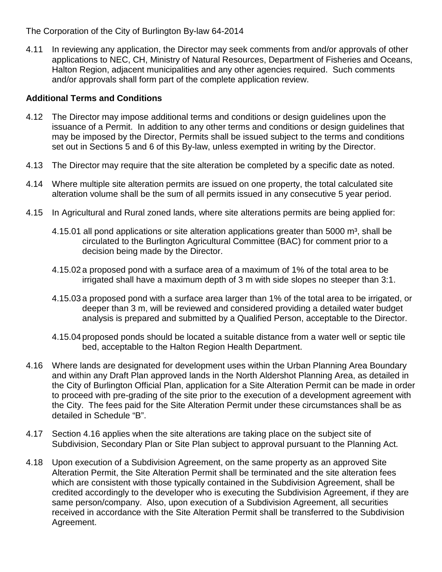4.11 In reviewing any application, the Director may seek comments from and/or approvals of other applications to NEC, CH, Ministry of Natural Resources, Department of Fisheries and Oceans, Halton Region, adjacent municipalities and any other agencies required. Such comments and/or approvals shall form part of the complete application review.

## **Additional Terms and Conditions**

- 4.12 The Director may impose additional terms and conditions or design guidelines upon the issuance of a Permit. In addition to any other terms and conditions or design guidelines that may be imposed by the Director, Permits shall be issued subject to the terms and conditions set out in Sections 5 and 6 of this By-law, unless exempted in writing by the Director.
- 4.13 The Director may require that the site alteration be completed by a specific date as noted.
- 4.14 Where multiple site alteration permits are issued on one property, the total calculated site alteration volume shall be the sum of all permits issued in any consecutive 5 year period.
- 4.15 In Agricultural and Rural zoned lands, where site alterations permits are being applied for:
	- 4.15.01 all pond applications or site alteration applications greater than 5000  $\text{m}^3$ , shall be circulated to the Burlington Agricultural Committee (BAC) for comment prior to a decision being made by the Director.
	- 4.15.02 a proposed pond with a surface area of a maximum of 1% of the total area to be irrigated shall have a maximum depth of 3 m with side slopes no steeper than 3:1.
	- 4.15.03 a proposed pond with a surface area larger than 1% of the total area to be irrigated, or deeper than 3 m, will be reviewed and considered providing a detailed water budget analysis is prepared and submitted by a Qualified Person, acceptable to the Director.
	- 4.15.04 proposed ponds should be located a suitable distance from a water well or septic tile bed, acceptable to the Halton Region Health Department.
- 4.16 Where lands are designated for development uses within the Urban Planning Area Boundary and within any Draft Plan approved lands in the North Aldershot Planning Area, as detailed in the City of Burlington Official Plan, application for a Site Alteration Permit can be made in order to proceed with pre-grading of the site prior to the execution of a development agreement with the City. The fees paid for the Site Alteration Permit under these circumstances shall be as detailed in Schedule "B".
- 4.17 Section 4.16 applies when the site alterations are taking place on the subject site of Subdivision, Secondary Plan or Site Plan subject to approval pursuant to the Planning Act.
- 4.18 Upon execution of a Subdivision Agreement, on the same property as an approved Site Alteration Permit, the Site Alteration Permit shall be terminated and the site alteration fees which are consistent with those typically contained in the Subdivision Agreement, shall be credited accordingly to the developer who is executing the Subdivision Agreement, if they are same person/company. Also, upon execution of a Subdivision Agreement, all securities received in accordance with the Site Alteration Permit shall be transferred to the Subdivision Agreement.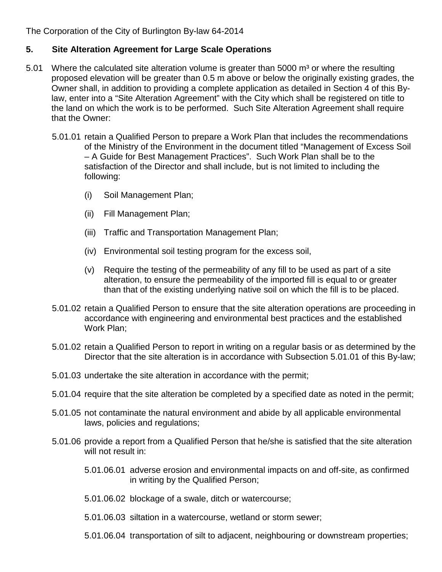### **5. Site Alteration Agreement for Large Scale Operations**

- 5.01 Where the calculated site alteration volume is greater than 5000  $\mathrm{m}^3$  or where the resulting proposed elevation will be greater than 0.5 m above or below the originally existing grades, the Owner shall, in addition to providing a complete application as detailed in Section 4 of this Bylaw, enter into a "Site Alteration Agreement" with the City which shall be registered on title to the land on which the work is to be performed. Such Site Alteration Agreement shall require that the Owner:
	- 5.01.01 retain a Qualified Person to prepare a Work Plan that includes the recommendations of the Ministry of the Environment in the document titled "Management of Excess Soil – A Guide for Best Management Practices". Such Work Plan shall be to the satisfaction of the Director and shall include, but is not limited to including the following:
		- (i) Soil Management Plan;
		- (ii) Fill Management Plan;
		- (iii) Traffic and Transportation Management Plan;
		- (iv) Environmental soil testing program for the excess soil,
		- (v) Require the testing of the permeability of any fill to be used as part of a site alteration, to ensure the permeability of the imported fill is equal to or greater than that of the existing underlying native soil on which the fill is to be placed.
	- 5.01.02 retain a Qualified Person to ensure that the site alteration operations are proceeding in accordance with engineering and environmental best practices and the established Work Plan;
	- 5.01.02 retain a Qualified Person to report in writing on a regular basis or as determined by the Director that the site alteration is in accordance with Subsection 5.01.01 of this By-law;
	- 5.01.03 undertake the site alteration in accordance with the permit;
	- 5.01.04 require that the site alteration be completed by a specified date as noted in the permit;
	- 5.01.05 not contaminate the natural environment and abide by all applicable environmental laws, policies and regulations;
	- 5.01.06 provide a report from a Qualified Person that he/she is satisfied that the site alteration will not result in:
		- 5.01.06.01 adverse erosion and environmental impacts on and off-site, as confirmed in writing by the Qualified Person;
		- 5.01.06.02 blockage of a swale, ditch or watercourse;
		- 5.01.06.03 siltation in a watercourse, wetland or storm sewer;
		- 5.01.06.04 transportation of silt to adjacent, neighbouring or downstream properties;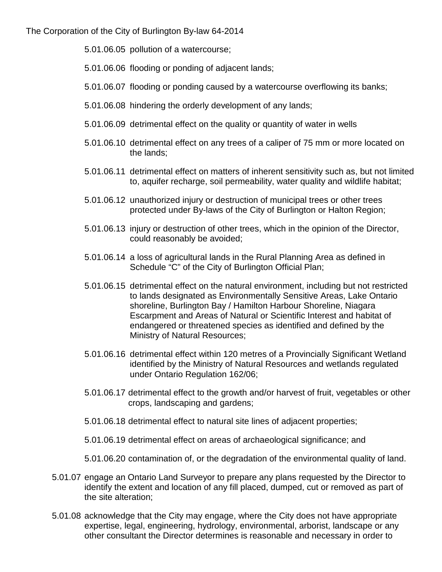- 5.01.06.05 pollution of a watercourse;
- 5.01.06.06 flooding or ponding of adjacent lands;
- 5.01.06.07 flooding or ponding caused by a watercourse overflowing its banks;
- 5.01.06.08 hindering the orderly development of any lands;
- 5.01.06.09 detrimental effect on the quality or quantity of water in wells
- 5.01.06.10 detrimental effect on any trees of a caliper of 75 mm or more located on the lands;
- 5.01.06.11 detrimental effect on matters of inherent sensitivity such as, but not limited to, aquifer recharge, soil permeability, water quality and wildlife habitat;
- 5.01.06.12 unauthorized injury or destruction of municipal trees or other trees protected under By-laws of the City of Burlington or Halton Region;
- 5.01.06.13 injury or destruction of other trees, which in the opinion of the Director, could reasonably be avoided;
- 5.01.06.14 a loss of agricultural lands in the Rural Planning Area as defined in Schedule "C" of the City of Burlington Official Plan;
- 5.01.06.15 detrimental effect on the natural environment, including but not restricted to lands designated as Environmentally Sensitive Areas, Lake Ontario shoreline, Burlington Bay / Hamilton Harbour Shoreline, Niagara Escarpment and Areas of Natural or Scientific Interest and habitat of endangered or threatened species as identified and defined by the Ministry of Natural Resources;
- 5.01.06.16 detrimental effect within 120 metres of a Provincially Significant Wetland identified by the Ministry of Natural Resources and wetlands regulated under Ontario Regulation 162/06;
- 5.01.06.17 detrimental effect to the growth and/or harvest of fruit, vegetables or other crops, landscaping and gardens;
- 5.01.06.18 detrimental effect to natural site lines of adjacent properties;
- 5.01.06.19 detrimental effect on areas of archaeological significance; and
- 5.01.06.20 contamination of, or the degradation of the environmental quality of land.
- 5.01.07 engage an Ontario Land Surveyor to prepare any plans requested by the Director to identify the extent and location of any fill placed, dumped, cut or removed as part of the site alteration;
- 5.01.08 acknowledge that the City may engage, where the City does not have appropriate expertise, legal, engineering, hydrology, environmental, arborist, landscape or any other consultant the Director determines is reasonable and necessary in order to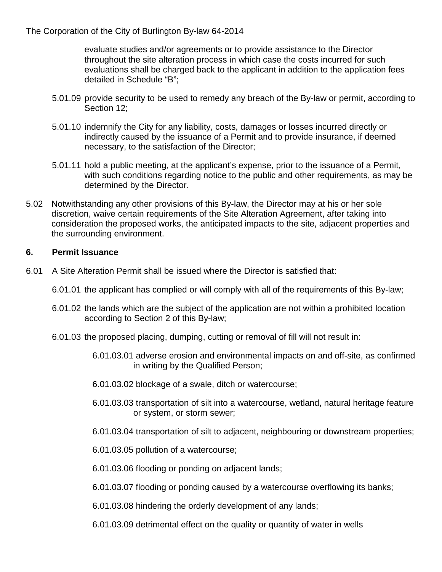evaluate studies and/or agreements or to provide assistance to the Director throughout the site alteration process in which case the costs incurred for such evaluations shall be charged back to the applicant in addition to the application fees detailed in Schedule "B";

- 5.01.09 provide security to be used to remedy any breach of the By-law or permit, according to Section 12;
- 5.01.10 indemnify the City for any liability, costs, damages or losses incurred directly or indirectly caused by the issuance of a Permit and to provide insurance, if deemed necessary, to the satisfaction of the Director;
- 5.01.11 hold a public meeting, at the applicant's expense, prior to the issuance of a Permit, with such conditions regarding notice to the public and other requirements, as may be determined by the Director.
- 5.02 Notwithstanding any other provisions of this By-law, the Director may at his or her sole discretion, waive certain requirements of the Site Alteration Agreement, after taking into consideration the proposed works, the anticipated impacts to the site, adjacent properties and the surrounding environment.

#### **6. Permit Issuance**

- 6.01 A Site Alteration Permit shall be issued where the Director is satisfied that:
	- 6.01.01 the applicant has complied or will comply with all of the requirements of this By-law;
	- 6.01.02 the lands which are the subject of the application are not within a prohibited location according to Section 2 of this By-law;
	- 6.01.03 the proposed placing, dumping, cutting or removal of fill will not result in:
		- 6.01.03.01 adverse erosion and environmental impacts on and off-site, as confirmed in writing by the Qualified Person;
		- 6.01.03.02 blockage of a swale, ditch or watercourse;
		- 6.01.03.03 transportation of silt into a watercourse, wetland, natural heritage feature or system, or storm sewer;
		- 6.01.03.04 transportation of silt to adjacent, neighbouring or downstream properties;
		- 6.01.03.05 pollution of a watercourse;
		- 6.01.03.06 flooding or ponding on adjacent lands;
		- 6.01.03.07 flooding or ponding caused by a watercourse overflowing its banks;
		- 6.01.03.08 hindering the orderly development of any lands;
		- 6.01.03.09 detrimental effect on the quality or quantity of water in wells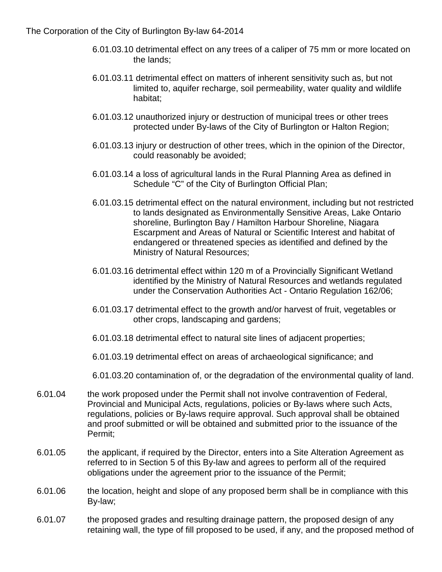- 6.01.03.10 detrimental effect on any trees of a caliper of 75 mm or more located on the lands;
- 6.01.03.11 detrimental effect on matters of inherent sensitivity such as, but not limited to, aquifer recharge, soil permeability, water quality and wildlife habitat;
- 6.01.03.12 unauthorized injury or destruction of municipal trees or other trees protected under By-laws of the City of Burlington or Halton Region;
- 6.01.03.13 injury or destruction of other trees, which in the opinion of the Director, could reasonably be avoided;
- 6.01.03.14 a loss of agricultural lands in the Rural Planning Area as defined in Schedule "C" of the City of Burlington Official Plan;
- 6.01.03.15 detrimental effect on the natural environment, including but not restricted to lands designated as Environmentally Sensitive Areas, Lake Ontario shoreline, Burlington Bay / Hamilton Harbour Shoreline, Niagara Escarpment and Areas of Natural or Scientific Interest and habitat of endangered or threatened species as identified and defined by the Ministry of Natural Resources;
- 6.01.03.16 detrimental effect within 120 m of a Provincially Significant Wetland identified by the Ministry of Natural Resources and wetlands regulated under the Conservation Authorities Act - Ontario Regulation 162/06;
- 6.01.03.17 detrimental effect to the growth and/or harvest of fruit, vegetables or other crops, landscaping and gardens;
- 6.01.03.18 detrimental effect to natural site lines of adjacent properties;
- 6.01.03.19 detrimental effect on areas of archaeological significance; and
- 6.01.03.20 contamination of, or the degradation of the environmental quality of land.
- 6.01.04 the work proposed under the Permit shall not involve contravention of Federal, Provincial and Municipal Acts, regulations, policies or By-laws where such Acts, regulations, policies or By-laws require approval. Such approval shall be obtained and proof submitted or will be obtained and submitted prior to the issuance of the Permit;
- 6.01.05 the applicant, if required by the Director, enters into a Site Alteration Agreement as referred to in Section 5 of this By-law and agrees to perform all of the required obligations under the agreement prior to the issuance of the Permit;
- 6.01.06 the location, height and slope of any proposed berm shall be in compliance with this By-law;
- 6.01.07 the proposed grades and resulting drainage pattern, the proposed design of any retaining wall, the type of fill proposed to be used, if any, and the proposed method of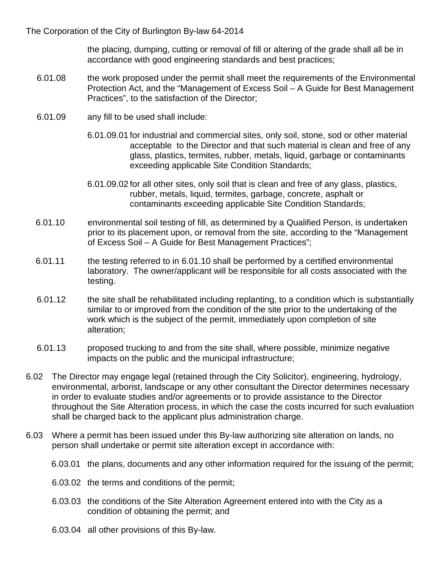the placing, dumping, cutting or removal of fill or altering of the grade shall all be in accordance with good engineering standards and best practices;

- 6.01.08 the work proposed under the permit shall meet the requirements of the Environmental Protection Act, and the "Management of Excess Soil – A Guide for Best Management Practices", to the satisfaction of the Director;
- 6.01.09 any fill to be used shall include:
	- 6.01.09.01 for industrial and commercial sites, only soil, stone, sod or other material acceptable to the Director and that such material is clean and free of any glass, plastics, termites, rubber, metals, liquid, garbage or contaminants exceeding applicable Site Condition Standards;
	- 6.01.09.02 for all other sites, only soil that is clean and free of any glass, plastics, rubber, metals, liquid, termites, garbage, concrete, asphalt or contaminants exceeding applicable Site Condition Standards;
- 6.01.10 environmental soil testing of fill, as determined by a Qualified Person, is undertaken prior to its placement upon, or removal from the site, according to the "Management of Excess Soil – A Guide for Best Management Practices";
- 6.01.11 the testing referred to in 6.01.10 shall be performed by a certified environmental laboratory. The owner/applicant will be responsible for all costs associated with the testing.
- 6.01.12 the site shall be rehabilitated including replanting, to a condition which is substantially similar to or improved from the condition of the site prior to the undertaking of the work which is the subject of the permit, immediately upon completion of site alteration;
- 6.01.13 proposed trucking to and from the site shall, where possible, minimize negative impacts on the public and the municipal infrastructure;
- 6.02 The Director may engage legal (retained through the City Solicitor), engineering, hydrology, environmental, arborist, landscape or any other consultant the Director determines necessary in order to evaluate studies and/or agreements or to provide assistance to the Director throughout the Site Alteration process, in which the case the costs incurred for such evaluation shall be charged back to the applicant plus administration charge.
- 6.03 Where a permit has been issued under this By-law authorizing site alteration on lands, no person shall undertake or permit site alteration except in accordance with:
	- 6.03.01 the plans, documents and any other information required for the issuing of the permit;
	- 6.03.02 the terms and conditions of the permit;
	- 6.03.03 the conditions of the Site Alteration Agreement entered into with the City as a condition of obtaining the permit; and
	- 6.03.04 all other provisions of this By-law.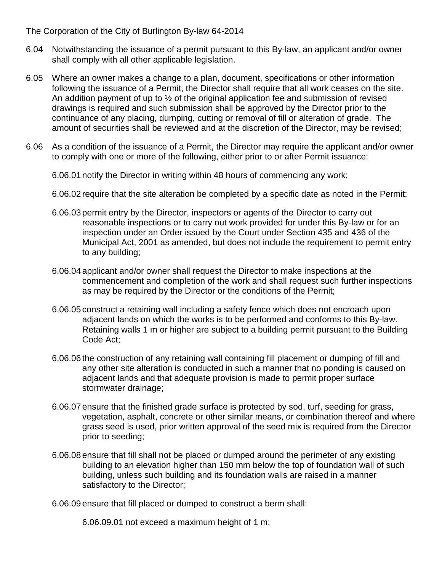- 6.04 Notwithstanding the issuance of a permit pursuant to this By-law, an applicant and/or owner shall comply with all other applicable legislation.
- 6.05 Where an owner makes a change to a plan, document, specifications or other information following the issuance of a Permit, the Director shall require that all work ceases on the site. An addition payment of up to  $\frac{1}{2}$  of the original application fee and submission of revised drawings is required and such submission shall be approved by the Director prior to the continuance of any placing, dumping, cutting or removal of fill or alteration of grade. The amount of securities shall be reviewed and at the discretion of the Director, may be revised;
- 6.06 As a condition of the issuance of a Permit, the Director may require the applicant and/or owner to comply with one or more of the following, either prior to or after Permit issuance:

6.06.01 notify the Director in writing within 48 hours of commencing any work;

- 6.06.02 require that the site alteration be completed by a specific date as noted in the Permit;
- 6.06.03 permit entry by the Director, inspectors or agents of the Director to carry out reasonable inspections or to carry out work provided for under this By-law or for an inspection under an Order issued by the Court under Section 435 and 436 of the Municipal Act, 2001 as amended, but does not include the requirement to permit entry to any building;
- 6.06.04 applicant and/or owner shall request the Director to make inspections at the commencement and completion of the work and shall request such further inspections as may be required by the Director or the conditions of the Permit;
- 6.06.05 construct a retaining wall including a safety fence which does not encroach upon adjacent lands on which the works is to be performed and conforms to this By-law. Retaining walls 1 m or higher are subject to a building permit pursuant to the Building Code Act;
- 6.06.06 the construction of any retaining wall containing fill placement or dumping of fill and any other site alteration is conducted in such a manner that no ponding is caused on adjacent lands and that adequate provision is made to permit proper surface stormwater drainage;
- 6.06.07 ensure that the finished grade surface is protected by sod, turf, seeding for grass, vegetation, asphalt, concrete or other similar means, or combination thereof and where grass seed is used, prior written approval of the seed mix is required from the Director prior to seeding;
- 6.06.08 ensure that fill shall not be placed or dumped around the perimeter of any existing building to an elevation higher than 150 mm below the top of foundation wall of such building, unless such building and its foundation walls are raised in a manner satisfactory to the Director;

6.06.09 ensure that fill placed or dumped to construct a berm shall:

6.06.09.01 not exceed a maximum height of 1 m;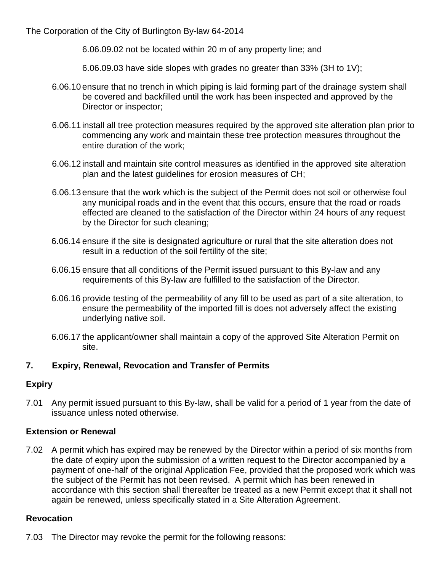6.06.09.02 not be located within 20 m of any property line; and

6.06.09.03 have side slopes with grades no greater than 33% (3H to 1V);

- 6.06.10 ensure that no trench in which piping is laid forming part of the drainage system shall be covered and backfilled until the work has been inspected and approved by the Director or inspector;
- 6.06.11 install all tree protection measures required by the approved site alteration plan prior to commencing any work and maintain these tree protection measures throughout the entire duration of the work;
- 6.06.12 install and maintain site control measures as identified in the approved site alteration plan and the latest guidelines for erosion measures of CH;
- 6.06.13 ensure that the work which is the subject of the Permit does not soil or otherwise foul any municipal roads and in the event that this occurs, ensure that the road or roads effected are cleaned to the satisfaction of the Director within 24 hours of any request by the Director for such cleaning;
- 6.06.14 ensure if the site is designated agriculture or rural that the site alteration does not result in a reduction of the soil fertility of the site;
- 6.06.15 ensure that all conditions of the Permit issued pursuant to this By-law and any requirements of this By-law are fulfilled to the satisfaction of the Director.
- 6.06.16 provide testing of the permeability of any fill to be used as part of a site alteration, to ensure the permeability of the imported fill is does not adversely affect the existing underlying native soil.
- 6.06.17 the applicant/owner shall maintain a copy of the approved Site Alteration Permit on site.

## **7. Expiry, Renewal, Revocation and Transfer of Permits**

## **Expiry**

7.01 Any permit issued pursuant to this By-law, shall be valid for a period of 1 year from the date of issuance unless noted otherwise.

#### **Extension or Renewal**

7.02 A permit which has expired may be renewed by the Director within a period of six months from the date of expiry upon the submission of a written request to the Director accompanied by a payment of one-half of the original Application Fee, provided that the proposed work which was the subject of the Permit has not been revised. A permit which has been renewed in accordance with this section shall thereafter be treated as a new Permit except that it shall not again be renewed, unless specifically stated in a Site Alteration Agreement.

#### **Revocation**

7.03 The Director may revoke the permit for the following reasons: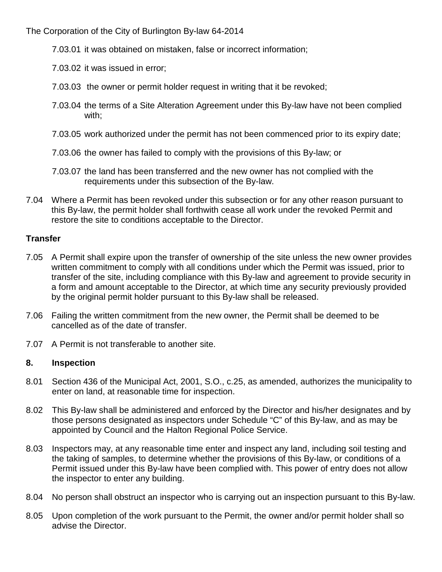- 7.03.01 it was obtained on mistaken, false or incorrect information;
- 7.03.02 it was issued in error;
- 7.03.03 the owner or permit holder request in writing that it be revoked;
- 7.03.04 the terms of a Site Alteration Agreement under this By-law have not been complied with;
- 7.03.05 work authorized under the permit has not been commenced prior to its expiry date;
- 7.03.06 the owner has failed to comply with the provisions of this By-law; or
- 7.03.07 the land has been transferred and the new owner has not complied with the requirements under this subsection of the By-law.
- 7.04 Where a Permit has been revoked under this subsection or for any other reason pursuant to this By-law, the permit holder shall forthwith cease all work under the revoked Permit and restore the site to conditions acceptable to the Director.

#### **Transfer**

- 7.05 A Permit shall expire upon the transfer of ownership of the site unless the new owner provides written commitment to comply with all conditions under which the Permit was issued, prior to transfer of the site, including compliance with this By-law and agreement to provide security in a form and amount acceptable to the Director, at which time any security previously provided by the original permit holder pursuant to this By-law shall be released.
- 7.06 Failing the written commitment from the new owner, the Permit shall be deemed to be cancelled as of the date of transfer.
- 7.07 A Permit is not transferable to another site.

#### **8. Inspection**

- 8.01 Section 436 of the Municipal Act, 2001, S.O., c.25, as amended, authorizes the municipality to enter on land, at reasonable time for inspection.
- 8.02 This By-law shall be administered and enforced by the Director and his/her designates and by those persons designated as inspectors under Schedule "C" of this By-law, and as may be appointed by Council and the Halton Regional Police Service.
- 8.03 Inspectors may, at any reasonable time enter and inspect any land, including soil testing and the taking of samples, to determine whether the provisions of this By-law, or conditions of a Permit issued under this By-law have been complied with. This power of entry does not allow the inspector to enter any building.
- 8.04 No person shall obstruct an inspector who is carrying out an inspection pursuant to this By-law.
- 8.05 Upon completion of the work pursuant to the Permit, the owner and/or permit holder shall so advise the Director.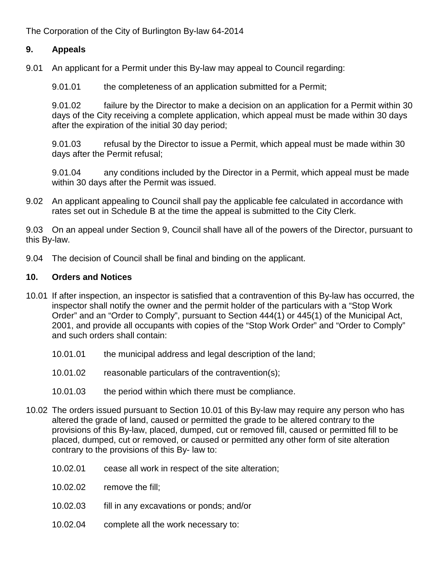#### **9. Appeals**

9.01 An applicant for a Permit under this By-law may appeal to Council regarding:

9.01.01 the completeness of an application submitted for a Permit;

9.01.02 failure by the Director to make a decision on an application for a Permit within 30 days of the City receiving a complete application, which appeal must be made within 30 days after the expiration of the initial 30 day period;

9.01.03 refusal by the Director to issue a Permit, which appeal must be made within 30 days after the Permit refusal;

9.01.04 any conditions included by the Director in a Permit, which appeal must be made within 30 days after the Permit was issued.

9.02 An applicant appealing to Council shall pay the applicable fee calculated in accordance with rates set out in Schedule B at the time the appeal is submitted to the City Clerk.

9.03 On an appeal under Section 9, Council shall have all of the powers of the Director, pursuant to this By-law.

9.04 The decision of Council shall be final and binding on the applicant.

#### **10. Orders and Notices**

- 10.01 If after inspection, an inspector is satisfied that a contravention of this By-law has occurred, the inspector shall notify the owner and the permit holder of the particulars with a "Stop Work Order" and an "Order to Comply", pursuant to Section 444(1) or 445(1) of the Municipal Act, 2001, and provide all occupants with copies of the "Stop Work Order" and "Order to Comply" and such orders shall contain:
	- 10.01.01 the municipal address and legal description of the land;
	- 10.01.02 reasonable particulars of the contravention(s);
	- 10.01.03 the period within which there must be compliance.
- 10.02 The orders issued pursuant to Section 10.01 of this By-law may require any person who has altered the grade of land, caused or permitted the grade to be altered contrary to the provisions of this By-law, placed, dumped, cut or removed fill, caused or permitted fill to be placed, dumped, cut or removed, or caused or permitted any other form of site alteration contrary to the provisions of this By- law to:
	- 10.02.01 cease all work in respect of the site alteration;
	- 10.02.02 remove the fill;
	- 10.02.03 fill in any excavations or ponds; and/or
	- 10.02.04 complete all the work necessary to: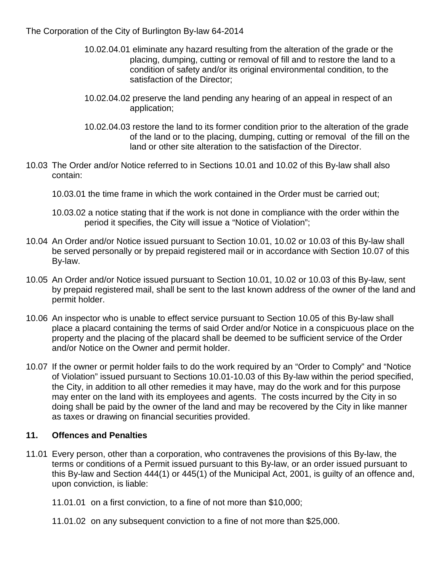- 10.02.04.01 eliminate any hazard resulting from the alteration of the grade or the placing, dumping, cutting or removal of fill and to restore the land to a condition of safety and/or its original environmental condition, to the satisfaction of the Director;
- 10.02.04.02 preserve the land pending any hearing of an appeal in respect of an application;
- 10.02.04.03 restore the land to its former condition prior to the alteration of the grade of the land or to the placing, dumping, cutting or removal of the fill on the land or other site alteration to the satisfaction of the Director.
- 10.03 The Order and/or Notice referred to in Sections 10.01 and 10.02 of this By-law shall also contain:
	- 10.03.01 the time frame in which the work contained in the Order must be carried out;
	- 10.03.02 a notice stating that if the work is not done in compliance with the order within the period it specifies, the City will issue a "Notice of Violation";
- 10.04 An Order and/or Notice issued pursuant to Section 10.01, 10.02 or 10.03 of this By-law shall be served personally or by prepaid registered mail or in accordance with Section 10.07 of this By-law.
- 10.05 An Order and/or Notice issued pursuant to Section 10.01, 10.02 or 10.03 of this By-law, sent by prepaid registered mail, shall be sent to the last known address of the owner of the land and permit holder.
- 10.06 An inspector who is unable to effect service pursuant to Section 10.05 of this By-law shall place a placard containing the terms of said Order and/or Notice in a conspicuous place on the property and the placing of the placard shall be deemed to be sufficient service of the Order and/or Notice on the Owner and permit holder.
- 10.07 If the owner or permit holder fails to do the work required by an "Order to Comply" and "Notice of Violation" issued pursuant to Sections 10.01-10.03 of this By-law within the period specified, the City, in addition to all other remedies it may have, may do the work and for this purpose may enter on the land with its employees and agents. The costs incurred by the City in so doing shall be paid by the owner of the land and may be recovered by the City in like manner as taxes or drawing on financial securities provided.

#### **11. Offences and Penalties**

- 11.01 Every person, other than a corporation, who contravenes the provisions of this By-law, the terms or conditions of a Permit issued pursuant to this By-law, or an order issued pursuant to this By-law and Section 444(1) or 445(1) of the Municipal Act, 2001, is guilty of an offence and, upon conviction, is liable:
	- 11.01.01 on a first conviction, to a fine of not more than \$10,000;
	- 11.01.02 on any subsequent conviction to a fine of not more than \$25,000.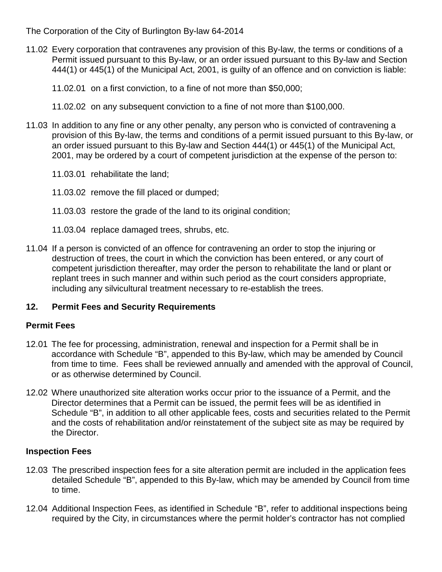- 11.02 Every corporation that contravenes any provision of this By-law, the terms or conditions of a Permit issued pursuant to this By-law, or an order issued pursuant to this By-law and Section 444(1) or 445(1) of the Municipal Act, 2001, is guilty of an offence and on conviction is liable:
	- 11.02.01 on a first conviction, to a fine of not more than \$50,000;
	- 11.02.02 on any subsequent conviction to a fine of not more than \$100,000.
- 11.03 In addition to any fine or any other penalty, any person who is convicted of contravening a provision of this By-law, the terms and conditions of a permit issued pursuant to this By-law, or an order issued pursuant to this By-law and Section 444(1) or 445(1) of the Municipal Act, 2001, may be ordered by a court of competent jurisdiction at the expense of the person to:
	- 11.03.01 rehabilitate the land;
	- 11.03.02 remove the fill placed or dumped;
	- 11.03.03 restore the grade of the land to its original condition;
	- 11.03.04 replace damaged trees, shrubs, etc.
- 11.04 If a person is convicted of an offence for contravening an order to stop the injuring or destruction of trees, the court in which the conviction has been entered, or any court of competent jurisdiction thereafter, may order the person to rehabilitate the land or plant or replant trees in such manner and within such period as the court considers appropriate, including any silvicultural treatment necessary to re-establish the trees.

## **12. Permit Fees and Security Requirements**

#### **Permit Fees**

- 12.01 The fee for processing, administration, renewal and inspection for a Permit shall be in accordance with Schedule "B", appended to this By-law, which may be amended by Council from time to time. Fees shall be reviewed annually and amended with the approval of Council, or as otherwise determined by Council.
- 12.02 Where unauthorized site alteration works occur prior to the issuance of a Permit, and the Director determines that a Permit can be issued, the permit fees will be as identified in Schedule "B", in addition to all other applicable fees, costs and securities related to the Permit and the costs of rehabilitation and/or reinstatement of the subject site as may be required by the Director.

## **Inspection Fees**

- 12.03 The prescribed inspection fees for a site alteration permit are included in the application fees detailed Schedule "B", appended to this By-law, which may be amended by Council from time to time.
- 12.04 Additional Inspection Fees, as identified in Schedule "B", refer to additional inspections being required by the City, in circumstances where the permit holder's contractor has not complied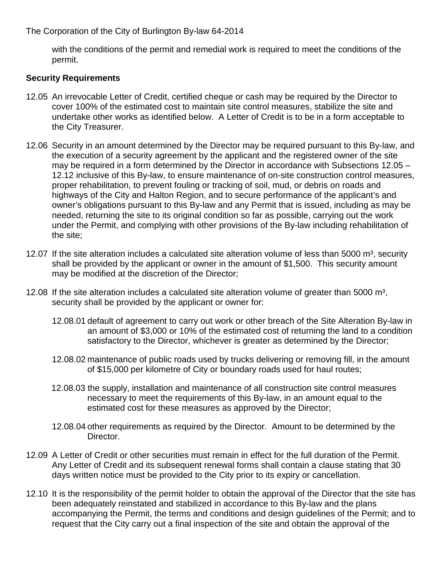with the conditions of the permit and remedial work is required to meet the conditions of the permit.

### **Security Requirements**

- 12.05 An irrevocable Letter of Credit, certified cheque or cash may be required by the Director to cover 100% of the estimated cost to maintain site control measures, stabilize the site and undertake other works as identified below. A Letter of Credit is to be in a form acceptable to the City Treasurer.
- 12.06 Security in an amount determined by the Director may be required pursuant to this By-law, and the execution of a security agreement by the applicant and the registered owner of the site may be required in a form determined by the Director in accordance with Subsections 12.05 – 12.12 inclusive of this By-law, to ensure maintenance of on-site construction control measures, proper rehabilitation, to prevent fouling or tracking of soil, mud, or debris on roads and highways of the City and Halton Region, and to secure performance of the applicant's and owner's obligations pursuant to this By-law and any Permit that is issued, including as may be needed, returning the site to its original condition so far as possible, carrying out the work under the Permit, and complying with other provisions of the By-law including rehabilitation of the site;
- 12.07 If the site alteration includes a calculated site alteration volume of less than 5000  $m^3$ , security shall be provided by the applicant or owner in the amount of \$1,500. This security amount may be modified at the discretion of the Director;
- 12.08 If the site alteration includes a calculated site alteration volume of greater than 5000  $m^3$ , security shall be provided by the applicant or owner for:
	- 12.08.01 default of agreement to carry out work or other breach of the Site Alteration By-law in an amount of \$3,000 or 10% of the estimated cost of returning the land to a condition satisfactory to the Director, whichever is greater as determined by the Director;
	- 12.08.02 maintenance of public roads used by trucks delivering or removing fill, in the amount of \$15,000 per kilometre of City or boundary roads used for haul routes;
	- 12.08.03 the supply, installation and maintenance of all construction site control measures necessary to meet the requirements of this By-law, in an amount equal to the estimated cost for these measures as approved by the Director;
	- 12.08.04 other requirements as required by the Director. Amount to be determined by the Director.
- 12.09 A Letter of Credit or other securities must remain in effect for the full duration of the Permit. Any Letter of Credit and its subsequent renewal forms shall contain a clause stating that 30 days written notice must be provided to the City prior to its expiry or cancellation.
- 12.10 It is the responsibility of the permit holder to obtain the approval of the Director that the site has been adequately reinstated and stabilized in accordance to this By-law and the plans accompanying the Permit, the terms and conditions and design guidelines of the Permit; and to request that the City carry out a final inspection of the site and obtain the approval of the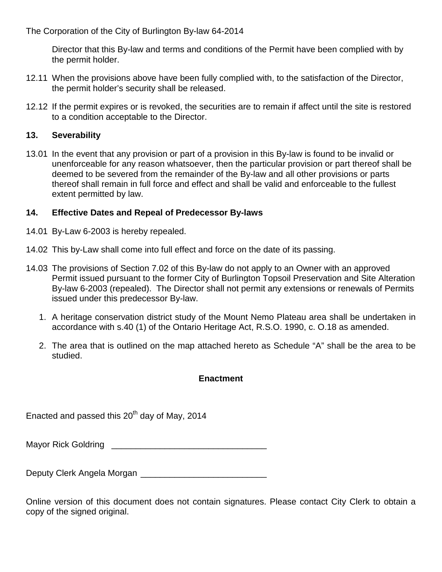Director that this By-law and terms and conditions of the Permit have been complied with by the permit holder.

- 12.11 When the provisions above have been fully complied with, to the satisfaction of the Director, the permit holder's security shall be released.
- 12.12 If the permit expires or is revoked, the securities are to remain if affect until the site is restored to a condition acceptable to the Director.

#### **13. Severability**

13.01 In the event that any provision or part of a provision in this By-law is found to be invalid or unenforceable for any reason whatsoever, then the particular provision or part thereof shall be deemed to be severed from the remainder of the By-law and all other provisions or parts thereof shall remain in full force and effect and shall be valid and enforceable to the fullest extent permitted by law.

### **14. Effective Dates and Repeal of Predecessor By-laws**

- 14.01 By-Law 6-2003 is hereby repealed.
- 14.02 This by-Law shall come into full effect and force on the date of its passing.
- 14.03 The provisions of Section 7.02 of this By-law do not apply to an Owner with an approved Permit issued pursuant to the former City of Burlington Topsoil Preservation and Site Alteration By-law 6-2003 (repealed). The Director shall not permit any extensions or renewals of Permits issued under this predecessor By-law.
	- 1. A heritage conservation district study of the Mount Nemo Plateau area shall be undertaken in accordance with s.40 (1) of the Ontario Heritage Act, R.S.O. 1990, c. O.18 as amended.
	- 2. The area that is outlined on the map attached hereto as Schedule "A" shall be the area to be studied.

#### **Enactment**

Enacted and passed this  $20<sup>th</sup>$  day of May, 2014

Mayor Rick Goldring \_\_\_\_\_\_\_\_\_\_\_\_\_\_\_\_\_\_\_\_\_\_\_\_\_\_\_\_\_\_\_\_

Deputy Clerk Angela Morgan \_\_\_\_\_\_\_\_\_\_\_\_\_\_\_\_\_\_\_\_\_\_\_\_\_\_

Online version of this document does not contain signatures. Please contact City Clerk to obtain a copy of the signed original.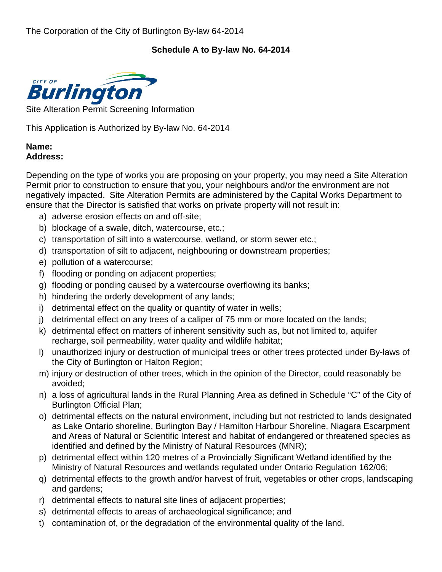## **Schedule A to By-law No. 64-2014**



Site Alteration Permit Screening Information

This Application is Authorized by By-law No. 64-2014

#### **Name: Address:**

Depending on the type of works you are proposing on your property, you may need a Site Alteration Permit prior to construction to ensure that you, your neighbours and/or the environment are not negatively impacted. Site Alteration Permits are administered by the Capital Works Department to ensure that the Director is satisfied that works on private property will not result in:

- a) adverse erosion effects on and off-site;
- b) blockage of a swale, ditch, watercourse, etc.;
- c) transportation of silt into a watercourse, wetland, or storm sewer etc.;
- d) transportation of silt to adjacent, neighbouring or downstream properties;
- e) pollution of a watercourse;
- f) flooding or ponding on adjacent properties;
- g) flooding or ponding caused by a watercourse overflowing its banks;
- h) hindering the orderly development of any lands;
- i) detrimental effect on the quality or quantity of water in wells;
- j) detrimental effect on any trees of a caliper of 75 mm or more located on the lands;
- k) detrimental effect on matters of inherent sensitivity such as, but not limited to, aquifer recharge, soil permeability, water quality and wildlife habitat;
- l) unauthorized injury or destruction of municipal trees or other trees protected under By-laws of the City of Burlington or Halton Region;
- m) injury or destruction of other trees, which in the opinion of the Director, could reasonably be avoided;
- n) a loss of agricultural lands in the Rural Planning Area as defined in Schedule "C" of the City of Burlington Official Plan;
- o) detrimental effects on the natural environment, including but not restricted to lands designated as Lake Ontario shoreline, Burlington Bay / Hamilton Harbour Shoreline, Niagara Escarpment and Areas of Natural or Scientific Interest and habitat of endangered or threatened species as identified and defined by the Ministry of Natural Resources (MNR);
- p) detrimental effect within 120 metres of a Provincially Significant Wetland identified by the Ministry of Natural Resources and wetlands regulated under Ontario Regulation 162/06;
- q) detrimental effects to the growth and/or harvest of fruit, vegetables or other crops, landscaping and gardens;
- r) detrimental effects to natural site lines of adjacent properties;
- s) detrimental effects to areas of archaeological significance; and
- t) contamination of, or the degradation of the environmental quality of the land.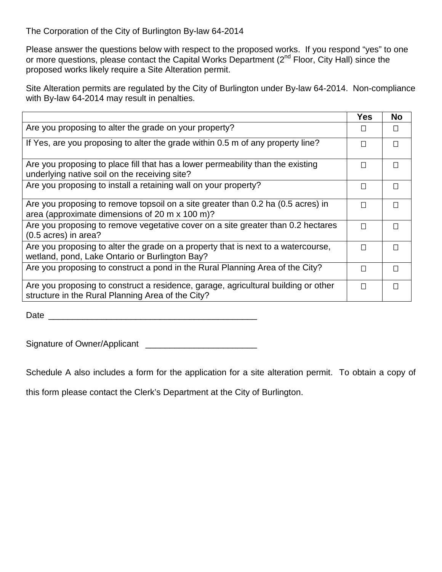Please answer the questions below with respect to the proposed works. If you respond "yes" to one or more questions, please contact the Capital Works Department (2<sup>nd</sup> Floor, City Hall) since the proposed works likely require a Site Alteration permit.

Site Alteration permits are regulated by the City of Burlington under By-law 64-2014. Non-compliance with By-law 64-2014 may result in penalties.

|                                                                                                                                         | <b>Yes</b> | <b>No</b> |
|-----------------------------------------------------------------------------------------------------------------------------------------|------------|-----------|
| Are you proposing to alter the grade on your property?                                                                                  |            | $\Box$    |
| If Yes, are you proposing to alter the grade within 0.5 m of any property line?                                                         | П          | $\Box$    |
| Are you proposing to place fill that has a lower permeability than the existing<br>underlying native soil on the receiving site?        | П          | $\Box$    |
| Are you proposing to install a retaining wall on your property?                                                                         | П          | П         |
| Are you proposing to remove topsoil on a site greater than 0.2 ha (0.5 acres) in<br>area (approximate dimensions of 20 m x 100 m)?      | П          | $\Box$    |
| Are you proposing to remove vegetative cover on a site greater than 0.2 hectares<br>(0.5 acres) in area?                                | П          | $\Box$    |
| Are you proposing to alter the grade on a property that is next to a watercourse,<br>wetland, pond, Lake Ontario or Burlington Bay?     | П          | $\Box$    |
| Are you proposing to construct a pond in the Rural Planning Area of the City?                                                           | П          | П         |
| Are you proposing to construct a residence, garage, agricultural building or other<br>structure in the Rural Planning Area of the City? | П          | $\Box$    |

 $Date$   $\Box$ 

Signature of Owner/Applicant \_\_\_\_\_\_\_\_\_\_\_\_\_\_\_\_\_\_\_\_\_\_\_

Schedule A also includes a form for the application for a site alteration permit. To obtain a copy of

this form please contact the Clerk's Department at the City of Burlington.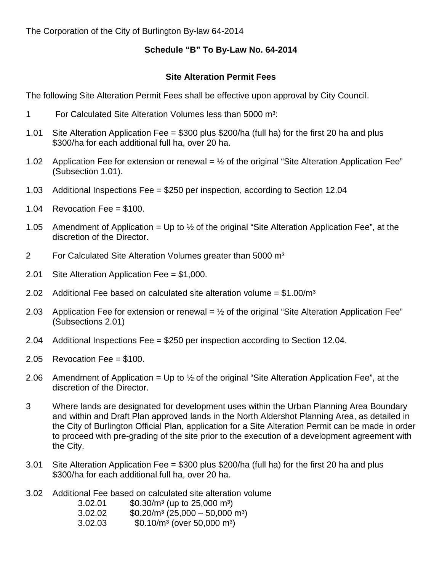## **Schedule "B" To By-Law No. 64-2014**

## **Site Alteration Permit Fees**

The following Site Alteration Permit Fees shall be effective upon approval by City Council.

- 1 For Calculated Site Alteration Volumes less than 5000 m³:
- 1.01 Site Alteration Application Fee = \$300 plus \$200/ha (full ha) for the first 20 ha and plus \$300/ha for each additional full ha, over 20 ha.
- 1.02 Application Fee for extension or renewal =  $\frac{1}{2}$  of the original "Site Alteration Application Fee" (Subsection 1.01).
- 1.03 Additional Inspections Fee = \$250 per inspection, according to Section 12.04
- 1.04 Revocation Fee =  $$100$ .
- 1.05 Amendment of Application = Up to  $\frac{1}{2}$  of the original "Site Alteration Application Fee", at the discretion of the Director.
- 2 For Calculated Site Alteration Volumes greater than 5000 m<sup>3</sup>
- 2.01 Site Alteration Application Fee = \$1,000.
- 2.02 Additional Fee based on calculated site alteration volume  $= $1.00/m^3$
- 2.03 Application Fee for extension or renewal =  $\frac{1}{2}$  of the original "Site Alteration Application Fee" (Subsections 2.01)
- 2.04 Additional Inspections Fee = \$250 per inspection according to Section 12.04.
- 2.05 Revocation Fee = \$100.
- 2.06 Amendment of Application = Up to  $\frac{1}{2}$  of the original "Site Alteration Application Fee", at the discretion of the Director.
- 3 Where lands are designated for development uses within the Urban Planning Area Boundary and within and Draft Plan approved lands in the North Aldershot Planning Area, as detailed in the City of Burlington Official Plan, application for a Site Alteration Permit can be made in order to proceed with pre-grading of the site prior to the execution of a development agreement with the City.
- 3.01 Site Alteration Application Fee = \$300 plus \$200/ha (full ha) for the first 20 ha and plus \$300/ha for each additional full ha, over 20 ha.
- 3.02 Additional Fee based on calculated site alteration volume
	- 3.02.01  $$0.30/m^3$  (up to 25,000 m<sup>3</sup>)
	- $3.02.02$   $$0.20/m<sup>3</sup> (25,000 50,000 m<sup>3</sup>)$
	- 3.02.03 \$0.10/m<sup>3</sup> (over 50,000 m<sup>3</sup>)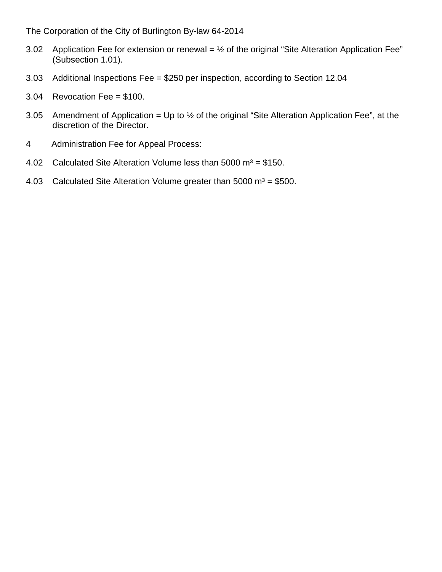- 3.02 Application Fee for extension or renewal =  $\frac{1}{2}$  of the original "Site Alteration Application Fee" (Subsection 1.01).
- 3.03 Additional Inspections Fee = \$250 per inspection, according to Section 12.04
- 3.04 Revocation Fee = \$100.
- 3.05 Amendment of Application = Up to  $\frac{1}{2}$  of the original "Site Alteration Application Fee", at the discretion of the Director.
- 4 Administration Fee for Appeal Process:
- 4.02 Calculated Site Alteration Volume less than 5000  $m^3 = $150$ .
- 4.03 Calculated Site Alteration Volume greater than  $5000 \text{ m}^3 = $500$ .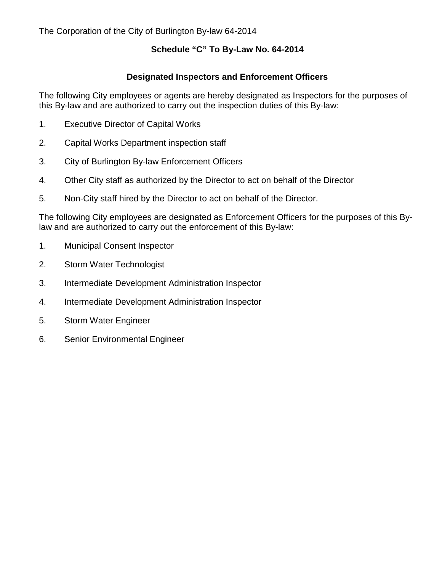## **Schedule "C" To By-Law No. 64-2014**

### **Designated Inspectors and Enforcement Officers**

The following City employees or agents are hereby designated as Inspectors for the purposes of this By-law and are authorized to carry out the inspection duties of this By-law:

- 1. Executive Director of Capital Works
- 2. Capital Works Department inspection staff
- 3. City of Burlington By-law Enforcement Officers
- 4. Other City staff as authorized by the Director to act on behalf of the Director
- 5. Non-City staff hired by the Director to act on behalf of the Director.

The following City employees are designated as Enforcement Officers for the purposes of this Bylaw and are authorized to carry out the enforcement of this By-law:

- 1. Municipal Consent Inspector
- 2. Storm Water Technologist
- 3. Intermediate Development Administration Inspector
- 4. Intermediate Development Administration Inspector
- 5. Storm Water Engineer
- 6. Senior Environmental Engineer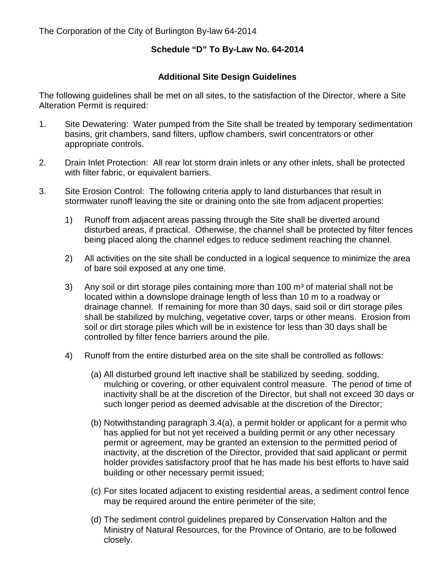## **Schedule "D" To By-Law No. 64-2014**

### **Additional Site Design Guidelines**

The following guidelines shall be met on all sites, to the satisfaction of the Director, where a Site Alteration Permit is required:

- 1. Site Dewatering: Water pumped from the Site shall be treated by temporary sedimentation basins, grit chambers, sand filters, upflow chambers, swirl concentrators or other appropriate controls.
- 2. Drain Inlet Protection: All rear lot storm drain inlets or any other inlets, shall be protected with filter fabric, or equivalent barriers.
- 3. Site Erosion Control: The following criteria apply to land disturbances that result in stormwater runoff leaving the site or draining onto the site from adjacent properties:
	- 1) Runoff from adjacent areas passing through the Site shall be diverted around disturbed areas, if practical. Otherwise, the channel shall be protected by filter fences being placed along the channel edges to reduce sediment reaching the channel.
	- 2) All activities on the site shall be conducted in a logical sequence to minimize the area of bare soil exposed at any one time.
	- 3) Any soil or dirt storage piles containing more than  $100 \text{ m}^3$  of material shall not be located within a downslope drainage length of less than 10 m to a roadway or drainage channel. If remaining for more than 30 days, said soil or dirt storage piles shall be stabilized by mulching, vegetative cover, tarps or other means. Erosion from soil or dirt storage piles which will be in existence for less than 30 days shall be controlled by filter fence barriers around the pile.
	- 4) Runoff from the entire disturbed area on the site shall be controlled as follows:
		- (a) All disturbed ground left inactive shall be stabilized by seeding, sodding, mulching or covering, or other equivalent control measure. The period of time of inactivity shall be at the discretion of the Director, but shall not exceed 30 days or such longer period as deemed advisable at the discretion of the Director;
		- (b) Notwithstanding paragraph 3.4(a), a permit holder or applicant for a permit who has applied for but not yet received a building permit or any other necessary permit or agreement, may be granted an extension to the permitted period of inactivity, at the discretion of the Director, provided that said applicant or permit holder provides satisfactory proof that he has made his best efforts to have said building or other necessary permit issued;
		- (c) For sites located adjacent to existing residential areas, a sediment control fence may be required around the entire perimeter of the site;
		- (d) The sediment control guidelines prepared by Conservation Halton and the Ministry of Natural Resources, for the Province of Ontario, are to be followed closely.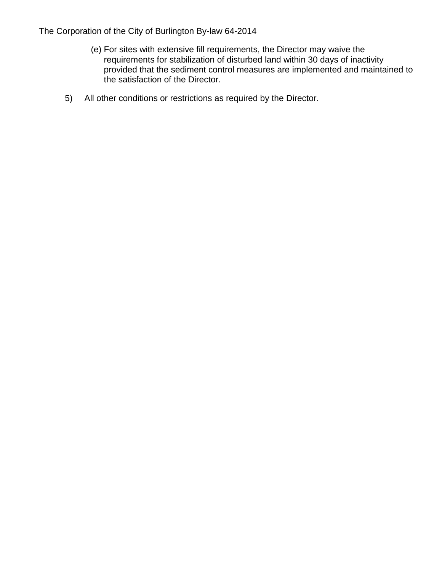- (e) For sites with extensive fill requirements, the Director may waive the requirements for stabilization of disturbed land within 30 days of inactivity provided that the sediment control measures are implemented and maintained to the satisfaction of the Director.
- 5) All other conditions or restrictions as required by the Director.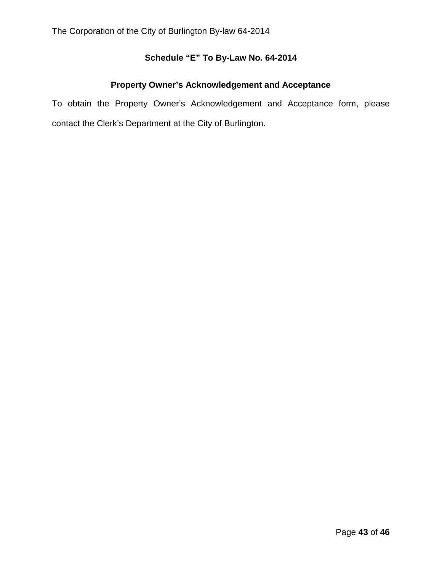# **Schedule "E" To By-Law No. 64-2014**

## **Property Owner's Acknowledgement and Acceptance**

To obtain the Property Owner's Acknowledgement and Acceptance form, please contact the Clerk's Department at the City of Burlington.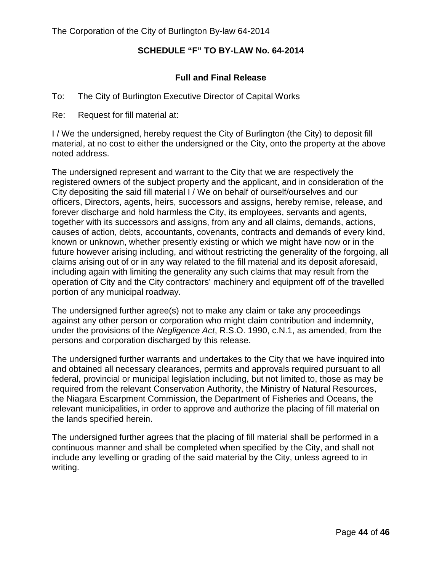## **SCHEDULE "F" TO BY-LAW No. 64-2014**

## **Full and Final Release**

- To: The City of Burlington Executive Director of Capital Works
- Re: Request for fill material at:

I / We the undersigned, hereby request the City of Burlington (the City) to deposit fill material, at no cost to either the undersigned or the City, onto the property at the above noted address.

The undersigned represent and warrant to the City that we are respectively the registered owners of the subject property and the applicant, and in consideration of the City depositing the said fill material I / We on behalf of ourself/ourselves and our officers, Directors, agents, heirs, successors and assigns, hereby remise, release, and forever discharge and hold harmless the City, its employees, servants and agents, together with its successors and assigns, from any and all claims, demands, actions, causes of action, debts, accountants, covenants, contracts and demands of every kind, known or unknown, whether presently existing or which we might have now or in the future however arising including, and without restricting the generality of the forgoing, all claims arising out of or in any way related to the fill material and its deposit aforesaid, including again with limiting the generality any such claims that may result from the operation of City and the City contractors' machinery and equipment off of the travelled portion of any municipal roadway.

The undersigned further agree(s) not to make any claim or take any proceedings against any other person or corporation who might claim contribution and indemnity, under the provisions of the *Negligence Act*, R.S.O. 1990, c.N.1, as amended, from the persons and corporation discharged by this release.

The undersigned further warrants and undertakes to the City that we have inquired into and obtained all necessary clearances, permits and approvals required pursuant to all federal, provincial or municipal legislation including, but not limited to, those as may be required from the relevant Conservation Authority, the Ministry of Natural Resources, the Niagara Escarpment Commission, the Department of Fisheries and Oceans, the relevant municipalities, in order to approve and authorize the placing of fill material on the lands specified herein.

The undersigned further agrees that the placing of fill material shall be performed in a continuous manner and shall be completed when specified by the City, and shall not include any levelling or grading of the said material by the City, unless agreed to in writing.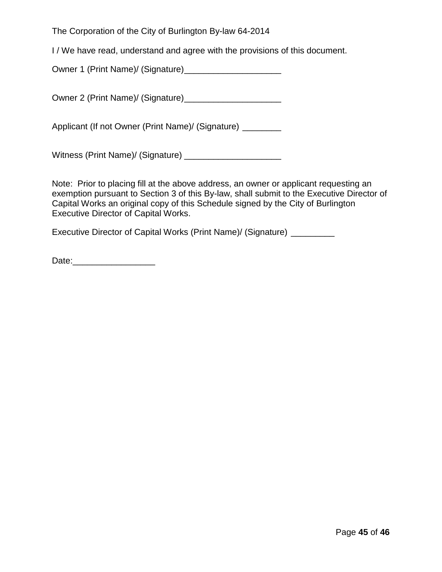I / We have read, understand and agree with the provisions of this document.

Owner 1 (Print Name)/ (Signature)\_\_\_\_\_\_\_\_\_\_\_\_\_\_\_\_\_\_\_\_

Owner 2 (Print Name)/ (Signature)\_\_\_\_\_\_\_\_\_\_\_\_\_\_\_\_\_\_\_\_

Applicant (If not Owner (Print Name)/ (Signature) \_\_\_\_\_\_\_\_

Witness (Print Name)/ (Signature) \_\_\_\_\_\_\_\_\_\_\_\_\_\_\_\_\_\_\_\_

Note: Prior to placing fill at the above address, an owner or applicant requesting an exemption pursuant to Section 3 of this By-law, shall submit to the Executive Director of Capital Works an original copy of this Schedule signed by the City of Burlington Executive Director of Capital Works.

Executive Director of Capital Works (Print Name)/ (Signature) \_\_\_\_\_\_\_\_\_

Date:\_\_\_\_\_\_\_\_\_\_\_\_\_\_\_\_\_